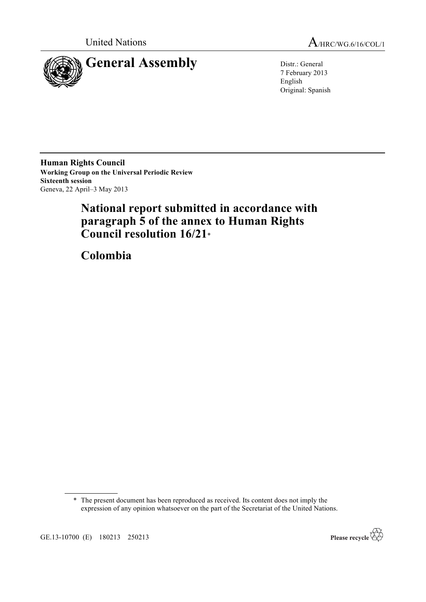

United Nations A/HRC/WG.6/16/COL/1

7 February 2013 English Original: Spanish

**Human Rights Council Working Group on the Universal Periodic Review Sixteenth session** Geneva, 22 April–3 May 2013

# **National report submitted in accordance with paragraph 5 of the annex to Human Rights Council resolution 16/21**\*

**Colombia**

<sup>\*</sup> The present document has been reproduced as received. Its content does not imply the expression of any opinion whatsoever on the part of the Secretariat of the United Nations.



GE.13-10700 (E) 180213 250213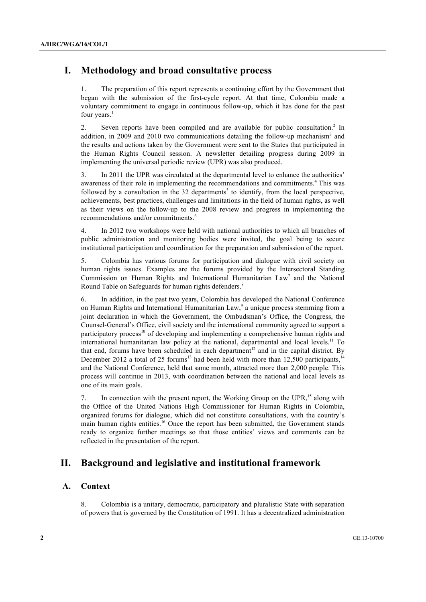## **I. Methodology and broad consultative process**

1. The preparation of this report represents a continuing effort by the Government that began with the submission of the first-cycle report. At that time, Colombia made a voluntary commitment to engage in continuous follow-up, which it has done for the past four years.<sup>1</sup>

2. Seven reports have been compiled and are available for public consultation.<sup>2</sup> In addition, in 2009 and 2010 two communications detailing the follow-up mechanism<sup>3</sup> and the results and actions taken by the Government were sent to the States that participated in the Human Rights Council session. A newsletter detailing progress during 2009 in implementing the universal periodic review (UPR) was also produced.

3. In 2011 the UPR was circulated at the departmental level to enhance the authorities' awareness of their role in implementing the recommendations and commitments.<sup>4</sup> This was followed by a consultation in the 32 departments<sup>5</sup> to identify, from the local perspective, achievements, best practices, challenges and limitations in the field of human rights, as well as their views on the follow-up to the 2008 review and progress in implementing the recommendations and/or commitments.<sup>6</sup>

4. In 2012 two workshops were held with national authorities to which all branches of public administration and monitoring bodies were invited, the goal being to secure institutional participation and coordination for the preparation and submission of the report.

5. Colombia has various forums for participation and dialogue with civil society on human rights issues. Examples are the forums provided by the Intersectoral Standing Commission on Human Rights and International Humanitarian  $Law<sup>7</sup>$  and the National Round Table on Safeguards for human rights defenders.<sup>8</sup>

6. In addition, in the past two years, Colombia has developed the National Conference on Human Rights and International Humanitarian Law,<sup>9</sup> a unique process stemming from a joint declaration in which the Government, the Ombudsman's Office, the Congress, the Counsel-General's Office, civil society and the international community agreed to support a participatory process<sup>10</sup> of developing and implementing a comprehensive human rights and international humanitarian law policy at the national, departmental and local levels.<sup>11</sup> To that end, forums have been scheduled in each department<sup>12</sup> and in the capital district. By December 2012 a total of 25 forums<sup>13</sup> had been held with more than  $12,500$  participants,<sup>14</sup> and the National Conference, held that same month, attracted more than 2,000 people. This process will continue in 2013, with coordination between the national and local levels as one of its main goals.

7. In connection with the present report, the Working Group on the UPR,<sup>15</sup> along with the Office of the United Nations High Commissioner for Human Rights in Colombia, organized forums for dialogue, which did not constitute consultations, with the country's main human rights entities.<sup>16</sup> Once the report has been submitted, the Government stands ready to organize further meetings so that those entities' views and comments can be reflected in the presentation of the report.

## **II. Background and legislative and institutional framework**

## **A. Context**

8. Colombia is a unitary, democratic, participatory and pluralistic State with separation of powers that is governed by the Constitution of 1991. It has a decentralized administration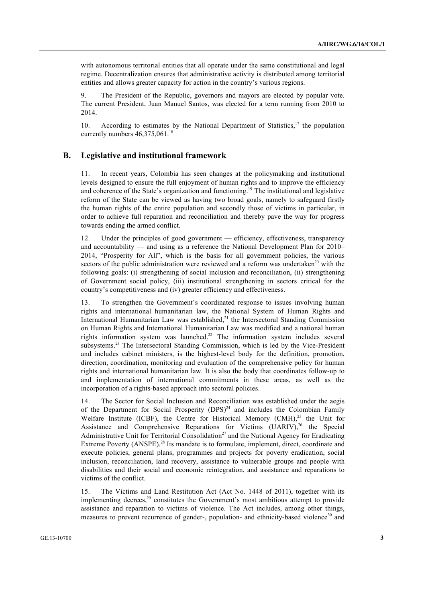with autonomous territorial entities that all operate under the same constitutional and legal regime. Decentralization ensures that administrative activity is distributed among territorial entities and allows greater capacity for action in the country's various regions.

9. The President of the Republic, governors and mayors are elected by popular vote. The current President, Juan Manuel Santos, was elected for a term running from 2010 to 2014.

10. According to estimates by the National Department of Statistics,<sup>17</sup> the population currently numbers  $46.375.061$ <sup>18</sup>

### **B. Legislative and institutional framework**

11. In recent years, Colombia has seen changes at the policymaking and institutional levels designed to ensure the full enjoyment of human rights and to improve the efficiency and coherence of the State's organization and functioning.<sup>19</sup> The institutional and legislative reform of the State can be viewed as having two broad goals, namely to safeguard firstly the human rights of the entire population and secondly those of victims in particular, in order to achieve full reparation and reconciliation and thereby pave the way for progress towards ending the armed conflict.

12. Under the principles of good government — efficiency, effectiveness, transparency and accountability — and using as a reference the National Development Plan for 2010– 2014, "Prosperity for All", which is the basis for all government policies, the various sectors of the public administration were reviewed and a reform was undertaken<sup>20</sup> with the following goals: (i) strengthening of social inclusion and reconciliation, (ii) strengthening of Government social policy, (iii) institutional strengthening in sectors critical for the country's competitiveness and (iv) greater efficiency and effectiveness.

13. To strengthen the Government's coordinated response to issues involving human rights and international humanitarian law, the National System of Human Rights and International Humanitarian Law was established,<sup>21</sup> the Intersectoral Standing Commission on Human Rights and International Humanitarian Law was modified and a national human rights information system was launched.<sup>22</sup> The information system includes several subsystems.<sup>23</sup> The Intersectoral Standing Commission, which is led by the Vice-President and includes cabinet ministers, is the highest-level body for the definition, promotion, direction, coordination, monitoring and evaluation of the comprehensive policy for human rights and international humanitarian law. It is also the body that coordinates follow-up to and implementation of international commitments in these areas, as well as the incorporation of a rights-based approach into sectoral policies.

14. The Sector for Social Inclusion and Reconciliation was established under the aegis of the Department for Social Prosperity  $(DPS)^{24}$  and includes the Colombian Family Welfare Institute (ICBF), the Centre for Historical Memory (CMH), $^{25}$  the Unit for Assistance and Comprehensive Reparations for Victims  $(UARIV)<sup>26</sup>$  the Special Administrative Unit for Territorial Consolidation<sup>27</sup> and the National Agency for Eradicating Extreme Poverty (ANSPE).<sup>28</sup> Its mandate is to formulate, implement, direct, coordinate and execute policies, general plans, programmes and projects for poverty eradication, social inclusion, reconciliation, land recovery, assistance to vulnerable groups and people with disabilities and their social and economic reintegration, and assistance and reparations to victims of the conflict.

15. The Victims and Land Restitution Act (Act No. 1448 of 2011), together with its implementing decrees,<sup>29</sup> constitutes the Government's most ambitious attempt to provide assistance and reparation to victims of violence. The Act includes, among other things, measures to prevent recurrence of gender-, population- and ethnicity-based violence<sup>30</sup> and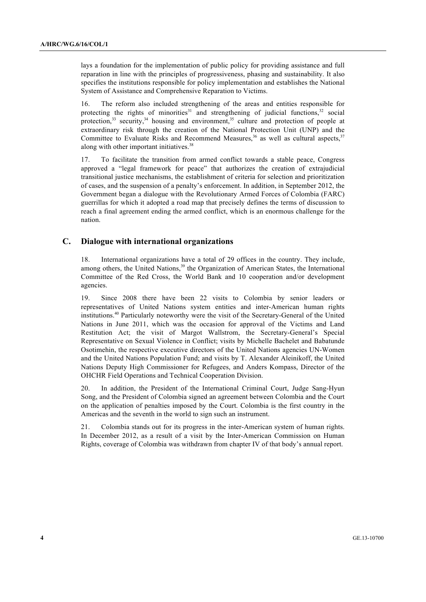lays a foundation for the implementation of public policy for providing assistance and full reparation in line with the principles of progressiveness, phasing and sustainability. It also specifies the institutions responsible for policy implementation and establishes the National System of Assistance and Comprehensive Reparation to Victims.

16. The reform also included strengthening of the areas and entities responsible for protecting the rights of minorities<sup>31</sup> and strengthening of judicial functions,<sup>32</sup> social protection, $33$  security, $34$  housing and environment, $35$  culture and protection of people at extraordinary risk through the creation of the National Protection Unit (UNP) and the Committee to Evaluate Risks and Recommend Measures,  $36$  as well as cultural aspects,  $37$ along with other important initiatives.<sup>38</sup>

17. To facilitate the transition from armed conflict towards a stable peace, Congress approved a "legal framework for peace" that authorizes the creation of extrajudicial transitional justice mechanisms, the establishment of criteria for selection and prioritization of cases, and the suspension of a penalty's enforcement. In addition, in September 2012, the Government began a dialogue with the Revolutionary Armed Forces of Colombia (FARC) guerrillas for which it adopted a road map that precisely defines the terms of discussion to reach a final agreement ending the armed conflict, which is an enormous challenge for the nation.

## **C. Dialogue with international organizations**

18. International organizations have a total of 29 offices in the country. They include, among others, the United Nations,<sup>39</sup> the Organization of American States, the International Committee of the Red Cross, the World Bank and 10 cooperation and/or development agencies.

19. Since 2008 there have been 22 visits to Colombia by senior leaders or representatives of United Nations system entities and inter-American human rights institutions.<sup>40</sup> Particularly noteworthy were the visit of the Secretary-General of the United Nations in June 2011, which was the occasion for approval of the Victims and Land Restitution Act; the visit of Margot Wallstrom, the Secretary-General's Special Representative on Sexual Violence in Conflict; visits by Michelle Bachelet and Babatunde Osotimehin, the respective executive directors of the United Nations agencies UN-Women and the United Nations Population Fund; and visits by T. Alexander Aleinikoff, the United Nations Deputy High Commissioner for Refugees, and Anders Kompass, Director of the OHCHR Field Operations and Technical Cooperation Division.

20. In addition, the President of the International Criminal Court, Judge Sang-Hyun Song, and the President of Colombia signed an agreement between Colombia and the Court on the application of penalties imposed by the Court. Colombia is the first country in the Americas and the seventh in the world to sign such an instrument.

21. Colombia stands out for its progress in the inter-American system of human rights. In December 2012, as a result of a visit by the Inter-American Commission on Human Rights, coverage of Colombia was withdrawn from chapter IV of that body's annual report.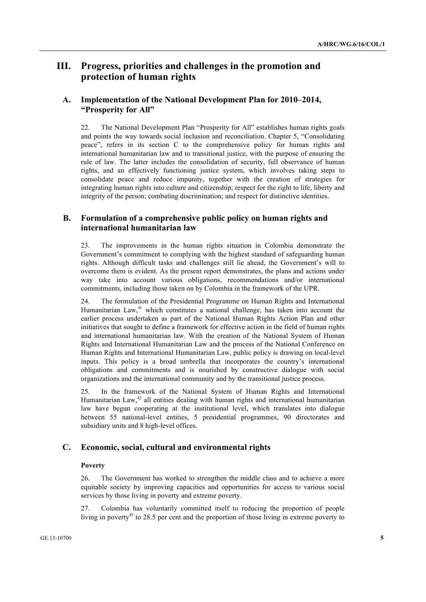## **III. Progress, priorities and challenges in the promotion and protection of human rights**

## **A. Implementation of the National Development Plan for 2010–2014, "Prosperity for All"**

22. The National Development Plan "Prosperity for All" establishes human rights goals and points the way towards social inclusion and reconciliation. Chapter 5, "Consolidating peace", refers in its section C to the comprehensive policy for human rights and international humanitarian law and to transitional justice, with the purpose of ensuring the rule of law. The latter includes the consolidation of security, full observance of human rights, and an effectively functioning justice system, which involves taking steps to consolidate peace and reduce impunity, together with the creation of strategies for integrating human rights into culture and citizenship; respect for the right to life, liberty and integrity of the person; combating discrimination; and respect for distinctive identities.

## **B. Formulation of a comprehensive public policy on human rights and international humanitarian law**

23. The improvements in the human rights situation in Colombia demonstrate the Government's commitment to complying with the highest standard of safeguarding human rights. Although difficult tasks and challenges still lie ahead, the Government's will to overcome them is evident. As the present report demonstrates, the plans and actions under way take into account various obligations, recommendations and/or international commitments, including those taken on by Colombia in the framework of the UPR.

24. The formulation of the Presidential Programme on Human Rights and International Humanitarian Law,<sup>41</sup> which constitutes a national challenge, has taken into account the earlier process undertaken as part of the National Human Rights Action Plan and other initiatives that sought to define a framework for effective action in the field of human rights and international humanitarian law. With the creation of the National System of Human Rights and International Humanitarian Law and the process of the National Conference on Human Rights and International Humanitarian Law, public policy is drawing on local-level inputs. This policy is a broad umbrella that incorporates the country's international obligations and commitments and is nourished by constructive dialogue with social organizations and the international community and by the transitional justice process.

25. In the framework of the National System of Human Rights and International Humanitarian Law, $42$  all entities dealing with human rights and international humanitarian law have begun cooperating at the institutional level, which translates into dialogue between 55 national-level entities, 5 presidential programmes, 90 directorates and subsidiary units and 8 high-level offices.

## **C. Economic, social, cultural and environmental rights**

### **Poverty**

26. The Government has worked to strengthen the middle class and to achieve a more equitable society by improving capacities and opportunities for access to various social services by those living in poverty and extreme poverty.

27. Colombia has voluntarily committed itself to reducing the proportion of people living in poverty<sup>43</sup> to 28.5 per cent and the proportion of those living in extreme poverty to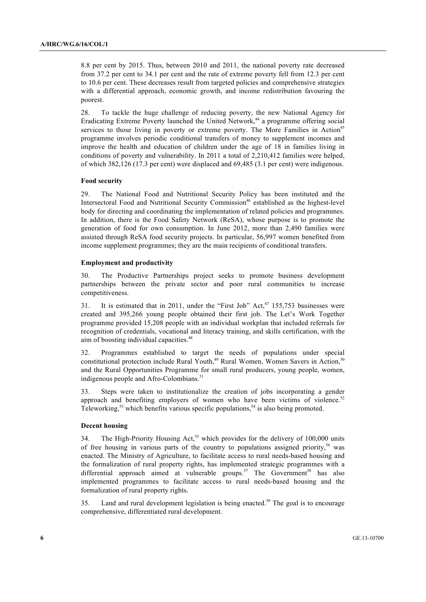8.8 per cent by 2015. Thus, between 2010 and 2011, the national poverty rate decreased from 37.2 per cent to 34.1 per cent and the rate of extreme poverty fell from 12.3 per cent to 10.6 per cent. These decreases result from targeted policies and comprehensive strategies with a differential approach, economic growth, and income redistribution favouring the poorest.

28. To tackle the huge challenge of reducing poverty, the new National Agency for Eradicating Extreme Poverty launched the United Network,<sup>44</sup> a programme offering social services to those living in poverty or extreme poverty. The More Families in Action<sup>45</sup> programme involves periodic conditional transfers of money to supplement incomes and improve the health and education of children under the age of 18 in families living in conditions of poverty and vulnerability. In 2011 a total of 2,210,412 families were helped, of which 382,126 (17.3 per cent) were displaced and 69,485 (3.1 per cent) were indigenous.

#### **Food security**

29. The National Food and Nutritional Security Policy has been instituted and the Intersectoral Food and Nutritional Security Commission<sup>46</sup> established as the highest-level body for directing and coordinating the implementation of related policies and programmes. In addition, there is the Food Safety Network (ReSA), whose purpose is to promote the generation of food for own consumption. In June 2012, more than 2,490 families were assisted through ReSA food security projects. In particular, 56,997 women benefited from income supplement programmes; they are the main recipients of conditional transfers.

#### **Employment and productivity**

30. The Productive Partnerships project seeks to promote business development partnerships between the private sector and poor rural communities to increase competitiveness.

31. It is estimated that in 2011, under the "First Job"  $Act<sub>1</sub><sup>47</sup>$  155,753 businesses were created and 395,266 young people obtained their first job. The Let's Work Together programme provided 15,208 people with an individual workplan that included referrals for recognition of credentials, vocational and literacy training, and skills certification, with the aim of boosting individual capacities.<sup>48</sup>

32. Programmes established to target the needs of populations under special constitutional protection include Rural Youth,<sup>49</sup> Rural Women, Women Savers in Action,<sup>5</sup> and the Rural Opportunities Programme for small rural producers, young people, women, indigenous people and Afro-Colombians.<sup>51</sup>

33. Steps were taken to institutionalize the creation of jobs incorporating a gender approach and benefiting employers of women who have been victims of violence. $52$ Teleworking,<sup>53</sup> which benefits various specific populations,<sup>54</sup> is also being promoted.

#### **Decent housing**

34. The High-Priority Housing Act,<sup>55</sup> which provides for the delivery of 100,000 units of free housing in various parts of the country to populations assigned priority,<sup>56</sup> was enacted. The Ministry of Agriculture, to facilitate access to rural needs-based housing and the formalization of rural property rights, has implemented strategic programmes with a differential approach aimed at vulnerable groups.<sup>57</sup> The Government<sup>58</sup> has also implemented programmes to facilitate access to rural needs-based housing and the formalization of rural property rights.

35. Land and rural development legislation is being enacted.<sup>59</sup> The goal is to encourage comprehensive, differentiated rural development.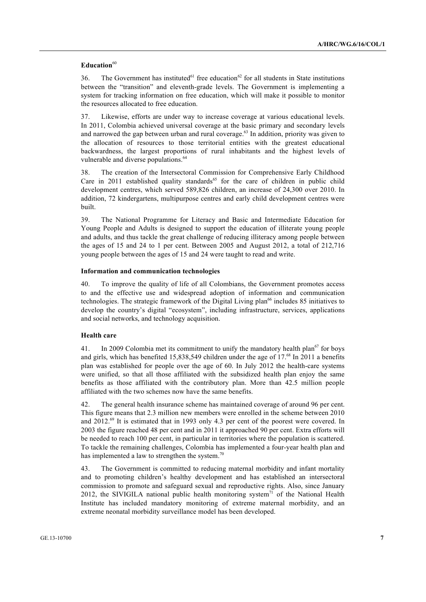#### Education<sup>60</sup>

36. The Government has instituted<sup>61</sup> free education<sup>62</sup> for all students in State institutions between the "transition" and eleventh-grade levels. The Government is implementing a system for tracking information on free education, which will make it possible to monitor the resources allocated to free education.

37. Likewise, efforts are under way to increase coverage at various educational levels. In 2011, Colombia achieved universal coverage at the basic primary and secondary levels and narrowed the gap between urban and rural coverage.<sup>63</sup> In addition, priority was given to the allocation of resources to those territorial entities with the greatest educational backwardness, the largest proportions of rural inhabitants and the highest levels of vulnerable and diverse populations.<sup>64</sup>

38. The creation of the Intersectoral Commission for Comprehensive Early Childhood Care in 2011 established quality standards<sup>65</sup> for the care of children in public child development centres, which served 589,826 children, an increase of 24,300 over 2010. In addition, 72 kindergartens, multipurpose centres and early child development centres were built.

39. The National Programme for Literacy and Basic and Intermediate Education for Young People and Adults is designed to support the education of illiterate young people and adults, and thus tackle the great challenge of reducing illiteracy among people between the ages of 15 and 24 to 1 per cent. Between 2005 and August 2012, a total of 212,716 young people between the ages of 15 and 24 were taught to read and write.

#### **Information and communication technologies**

40. To improve the quality of life of all Colombians, the Government promotes access to and the effective use and widespread adoption of information and communication technologies. The strategic framework of the Digital Living plan<sup>66</sup> includes 85 initiatives to develop the country's digital "ecosystem", including infrastructure, services, applications and social networks, and technology acquisition.

#### **Health care**

41. In 2009 Colombia met its commitment to unify the mandatory health plan<sup>67</sup> for boys and girls, which has benefited 15,838,549 children under the age of 17.<sup>68</sup> In 2011 a benefits plan was established for people over the age of 60. In July 2012 the health-care systems were unified, so that all those affiliated with the subsidized health plan enjoy the same benefits as those affiliated with the contributory plan. More than 42.5 million people affiliated with the two schemes now have the same benefits.

42. The general health insurance scheme has maintained coverage of around 96 per cent. This figure means that 2.3 million new members were enrolled in the scheme between 2010 and  $2012.^{69}$  It is estimated that in 1993 only 4.3 per cent of the poorest were covered. In 2003 the figure reached 48 per cent and in 2011 it approached 90 per cent. Extra efforts will be needed to reach 100 per cent, in particular in territories where the population is scattered. To tackle the remaining challenges, Colombia has implemented a four-year health plan and has implemented a law to strengthen the system.<sup>70</sup>

43. The Government is committed to reducing maternal morbidity and infant mortality and to promoting children's healthy development and has established an intersectoral commission to promote and safeguard sexual and reproductive rights. Also, since January 2012, the SIVIGILA national public health monitoring system<sup>71</sup> of the National Health Institute has included mandatory monitoring of extreme maternal morbidity, and an extreme neonatal morbidity surveillance model has been developed.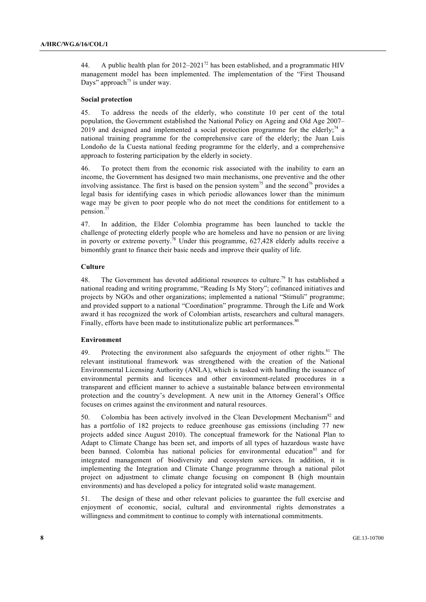44. A public health plan for  $2012-2021^{72}$  has been established, and a programmatic HIV management model has been implemented. The implementation of the "First Thousand Days" approach<sup> $73$ </sup> is under way.

#### **Social protection**

45. To address the needs of the elderly, who constitute 10 per cent of the total population, the Government established the National Policy on Ageing and Old Age 2007–  $2019$  and designed and implemented a social protection programme for the elderly;<sup>74</sup> a national training programme for the comprehensive care of the elderly; the Juan Luis Londoño de la Cuesta national feeding programme for the elderly, and a comprehensive approach to fostering participation by the elderly in society.

46. To protect them from the economic risk associated with the inability to earn an income, the Government has designed two main mechanisms, one preventive and the other involving assistance. The first is based on the pension system<sup>75</sup> and the second<sup>76</sup> provides a legal basis for identifying cases in which periodic allowances lower than the minimum wage may be given to poor people who do not meet the conditions for entitlement to a pension.77

47. In addition, the Elder Colombia programme has been launched to tackle the challenge of protecting elderly people who are homeless and have no pension or are living in poverty or extreme poverty.78 Under this programme, 627,428 elderly adults receive a bimonthly grant to finance their basic needs and improve their quality of life.

#### **Culture**

48. The Government has devoted additional resources to culture.<sup>79</sup> It has established a national reading and writing programme, "Reading Is My Story"; cofinanced initiatives and projects by NGOs and other organizations; implemented a national "Stimuli" programme; and provided support to a national "Coordination" programme. Through the Life and Work award it has recognized the work of Colombian artists, researchers and cultural managers. Finally, efforts have been made to institutionalize public art performances.<sup>80</sup>

#### **Environment**

49. Protecting the environment also safeguards the enjoyment of other rights. $81$  The relevant institutional framework was strengthened with the creation of the National Environmental Licensing Authority (ANLA), which is tasked with handling the issuance of environmental permits and licences and other environment-related procedures in a transparent and efficient manner to achieve a sustainable balance between environmental protection and the country's development. A new unit in the Attorney General's Office focuses on crimes against the environment and natural resources.

50. Colombia has been actively involved in the Clean Development Mechanism<sup>82</sup> and has a portfolio of 182 projects to reduce greenhouse gas emissions (including 77 new projects added since August 2010). The conceptual framework for the National Plan to Adapt to Climate Change has been set, and imports of all types of hazardous waste have been banned. Colombia has national policies for environmental education<sup>83</sup> and for integrated management of biodiversity and ecosystem services. In addition, it is implementing the Integration and Climate Change programme through a national pilot project on adjustment to climate change focusing on component B (high mountain environments) and has developed a policy for integrated solid waste management.

51. The design of these and other relevant policies to guarantee the full exercise and enjoyment of economic, social, cultural and environmental rights demonstrates a willingness and commitment to continue to comply with international commitments.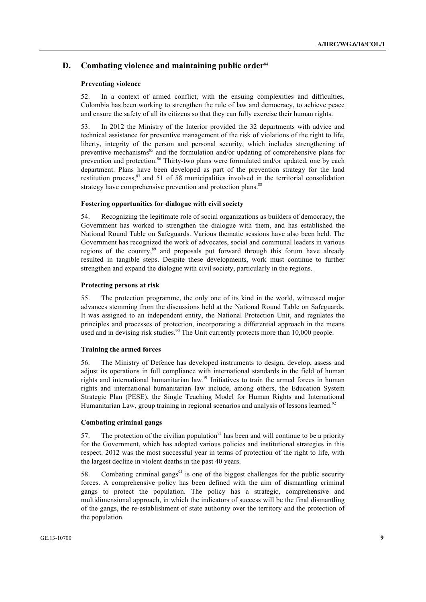## **D.** Combating violence and maintaining public order<sup>84</sup>

#### **Preventing violence**

52. In a context of armed conflict, with the ensuing complexities and difficulties, Colombia has been working to strengthen the rule of law and democracy, to achieve peace and ensure the safety of all its citizens so that they can fully exercise their human rights.

53. In 2012 the Ministry of the Interior provided the 32 departments with advice and technical assistance for preventive management of the risk of violations of the right to life, liberty, integrity of the person and personal security, which includes strengthening of preventive mechanisms<sup>85</sup> and the formulation and/or updating of comprehensive plans for prevention and protection.<sup>86</sup> Thirty-two plans were formulated and/or updated, one by each department. Plans have been developed as part of the prevention strategy for the land restitution process, $^{87}$  and 51 of 58 municipalities involved in the territorial consolidation strategy have comprehensive prevention and protection plans.<sup>88</sup>

#### **Fostering opportunities for dialogue with civil society**

54. Recognizing the legitimate role of social organizations as builders of democracy, the Government has worked to strengthen the dialogue with them, and has established the National Round Table on Safeguards. Various thematic sessions have also been held. The Government has recognized the work of advocates, social and communal leaders in various regions of the country,<sup>89</sup> and proposals put forward through this forum have already resulted in tangible steps. Despite these developments, work must continue to further strengthen and expand the dialogue with civil society, particularly in the regions.

#### **Protecting persons at risk**

55. The protection programme, the only one of its kind in the world, witnessed major advances stemming from the discussions held at the National Round Table on Safeguards. It was assigned to an independent entity, the National Protection Unit, and regulates the principles and processes of protection, incorporating a differential approach in the means used and in devising risk studies.<sup>90</sup> The Unit currently protects more than 10,000 people.

#### **Training the armed forces**

56. The Ministry of Defence has developed instruments to design, develop, assess and adjust its operations in full compliance with international standards in the field of human rights and international humanitarian law.<sup>91</sup> Initiatives to train the armed forces in human rights and international humanitarian law include, among others, the Education System Strategic Plan (PESE), the Single Teaching Model for Human Rights and International Humanitarian Law, group training in regional scenarios and analysis of lessons learned.<sup>92</sup>

#### **Combating criminal gangs**

57. The protection of the civilian population<sup>93</sup> has been and will continue to be a priority for the Government, which has adopted various policies and institutional strategies in this respect. 2012 was the most successful year in terms of protection of the right to life, with the largest decline in violent deaths in the past 40 years.

58. Combating criminal gangs<sup>94</sup> is one of the biggest challenges for the public security forces. A comprehensive policy has been defined with the aim of dismantling criminal gangs to protect the population. The policy has a strategic, comprehensive and multidimensional approach, in which the indicators of success will be the final dismantling of the gangs, the re-establishment of state authority over the territory and the protection of the population.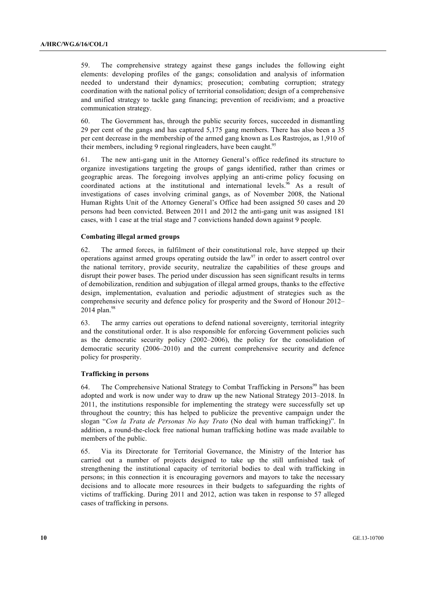59. The comprehensive strategy against these gangs includes the following eight elements: developing profiles of the gangs; consolidation and analysis of information needed to understand their dynamics; prosecution; combating corruption; strategy coordination with the national policy of territorial consolidation; design of a comprehensive and unified strategy to tackle gang financing; prevention of recidivism; and a proactive communication strategy.

60. The Government has, through the public security forces, succeeded in dismantling 29 per cent of the gangs and has captured 5,175 gang members. There has also been a 35 per cent decrease in the membership of the armed gang known as Los Rastrojos, as 1,910 of their members, including 9 regional ringleaders, have been caught.<sup>95</sup>

61. The new anti-gang unit in the Attorney General's office redefined its structure to organize investigations targeting the groups of gangs identified, rather than crimes or geographic areas. The foregoing involves applying an anti-crime policy focusing on coordinated actions at the institutional and international levels.<sup>96</sup> As a result of investigations of cases involving criminal gangs, as of November 2008, the National Human Rights Unit of the Attorney General's Office had been assigned 50 cases and 20 persons had been convicted. Between 2011 and 2012 the anti-gang unit was assigned 181 cases, with 1 case at the trial stage and 7 convictions handed down against 9 people.

#### **Combating illegal armed groups**

62. The armed forces, in fulfilment of their constitutional role, have stepped up their operations against armed groups operating outside the  $law<sup>97</sup>$  in order to assert control over the national territory, provide security, neutralize the capabilities of these groups and disrupt their power bases. The period under discussion has seen significant results in terms of demobilization, rendition and subjugation of illegal armed groups, thanks to the effective design, implementation, evaluation and periodic adjustment of strategies such as the comprehensive security and defence policy for prosperity and the Sword of Honour 2012–  $2014$  plan.<sup>98</sup>

63. The army carries out operations to defend national sovereignty, territorial integrity and the constitutional order. It is also responsible for enforcing Government policies such as the democratic security policy (2002–2006), the policy for the consolidation of democratic security (2006–2010) and the current comprehensive security and defence policy for prosperity.

#### **Trafficking in persons**

64. The Comprehensive National Strategy to Combat Trafficking in Persons<sup>99</sup> has been adopted and work is now under way to draw up the new National Strategy 2013–2018. In 2011, the institutions responsible for implementing the strategy were successfully set up throughout the country; this has helped to publicize the preventive campaign under the slogan "*Con la Trata de Personas No hay Trato* (No deal with human trafficking)". In addition, a round-the-clock free national human trafficking hotline was made available to members of the public.

65. Via its Directorate for Territorial Governance, the Ministry of the Interior has carried out a number of projects designed to take up the still unfinished task of strengthening the institutional capacity of territorial bodies to deal with trafficking in persons; in this connection it is encouraging governors and mayors to take the necessary decisions and to allocate more resources in their budgets to safeguarding the rights of victims of trafficking. During 2011 and 2012, action was taken in response to 57 alleged cases of trafficking in persons.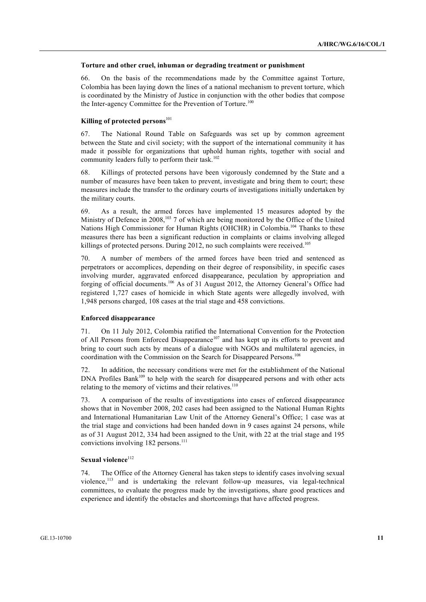#### **Torture and other cruel, inhuman or degrading treatment or punishment**

66. On the basis of the recommendations made by the Committee against Torture, Colombia has been laying down the lines of a national mechanism to prevent torture, which is coordinated by the Ministry of Justice in conjunction with the other bodies that compose the Inter-agency Committee for the Prevention of Torture.<sup>100</sup>

#### Killing of protected persons<sup>101</sup>

67. The National Round Table on Safeguards was set up by common agreement between the State and civil society; with the support of the international community it has made it possible for organizations that uphold human rights, together with social and community leaders fully to perform their task.<sup>102</sup>

68. Killings of protected persons have been vigorously condemned by the State and a number of measures have been taken to prevent, investigate and bring them to court; these measures include the transfer to the ordinary courts of investigations initially undertaken by the military courts.

69. As a result, the armed forces have implemented 15 measures adopted by the Ministry of Defence in 2008,<sup>103</sup> 7 of which are being monitored by the Office of the United Nations High Commissioner for Human Rights (OHCHR) in Colombia.<sup>104</sup> Thanks to these measures there has been a significant reduction in complaints or claims involving alleged killings of protected persons. During 2012, no such complaints were received.<sup>105</sup>

70. A number of members of the armed forces have been tried and sentenced as perpetrators or accomplices, depending on their degree of responsibility, in specific cases involving murder, aggravated enforced disappearance, peculation by appropriation and forging of official documents.<sup>106</sup> As of 31 August 2012, the Attorney General's Office had registered 1,727 cases of homicide in which State agents were allegedly involved, with 1,948 persons charged, 108 cases at the trial stage and 458 convictions.

#### **Enforced disappearance**

71. On 11 July 2012, Colombia ratified the International Convention for the Protection of All Persons from Enforced Disappearance<sup>107</sup> and has kept up its efforts to prevent and bring to court such acts by means of a dialogue with NGOs and multilateral agencies, in coordination with the Commission on the Search for Disappeared Persons.<sup>108</sup>

72. In addition, the necessary conditions were met for the establishment of the National DNA Profiles Bank<sup>109</sup> to help with the search for disappeared persons and with other acts relating to the memory of victims and their relatives. $110$ 

73. A comparison of the results of investigations into cases of enforced disappearance shows that in November 2008, 202 cases had been assigned to the National Human Rights and International Humanitarian Law Unit of the Attorney General's Office; 1 case was at the trial stage and convictions had been handed down in 9 cases against 24 persons, while as of 31 August 2012, 334 had been assigned to the Unit, with 22 at the trial stage and 195 convictions involving 182 persons.<sup>111</sup>

### **Sexual violence**<sup>112</sup>

74. The Office of the Attorney General has taken steps to identify cases involving sexual violence,<sup>113</sup> and is undertaking the relevant follow-up measures, via legal-technical committees, to evaluate the progress made by the investigations, share good practices and experience and identify the obstacles and shortcomings that have affected progress.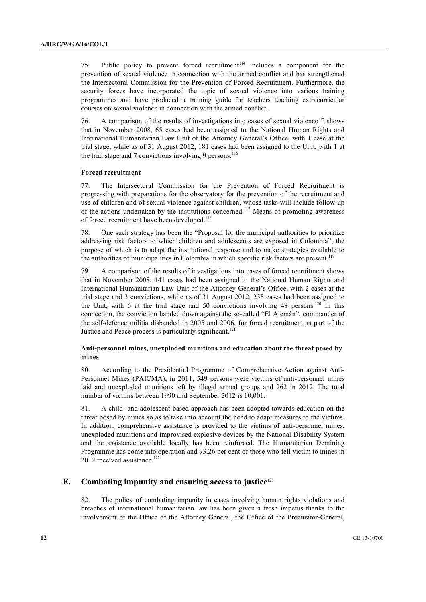75. Public policy to prevent forced recruitment<sup> $114$ </sup> includes a component for the prevention of sexual violence in connection with the armed conflict and has strengthened the Intersectoral Commission for the Prevention of Forced Recruitment. Furthermore, the security forces have incorporated the topic of sexual violence into various training programmes and have produced a training guide for teachers teaching extracurricular courses on sexual violence in connection with the armed conflict.

76. A comparison of the results of investigations into cases of sexual violence<sup>115</sup> shows that in November 2008, 65 cases had been assigned to the National Human Rights and International Humanitarian Law Unit of the Attorney General's Office, with 1 case at the trial stage, while as of 31 August 2012, 181 cases had been assigned to the Unit, with 1 at the trial stage and 7 convictions involving 9 persons.<sup>116</sup>

#### **Forced recruitment**

77. The Intersectoral Commission for the Prevention of Forced Recruitment is progressing with preparations for the observatory for the prevention of the recruitment and use of children and of sexual violence against children, whose tasks will include follow-up of the actions undertaken by the institutions concerned.<sup>117</sup> Means of promoting awareness of forced recruitment have been developed.<sup>118</sup>

78. One such strategy has been the "Proposal for the municipal authorities to prioritize addressing risk factors to which children and adolescents are exposed in Colombia", the purpose of which is to adapt the institutional response and to make strategies available to the authorities of municipalities in Colombia in which specific risk factors are present.<sup>119</sup>

79. A comparison of the results of investigations into cases of forced recruitment shows that in November 2008, 141 cases had been assigned to the National Human Rights and International Humanitarian Law Unit of the Attorney General's Office, with 2 cases at the trial stage and 3 convictions, while as of 31 August 2012, 238 cases had been assigned to the Unit, with 6 at the trial stage and 50 convictions involving 48 persons.<sup>120</sup> In this connection, the conviction handed down against the so-called "El Alemán", commander of the self-defence militia disbanded in 2005 and 2006, for forced recruitment as part of the Justice and Peace process is particularly significant.<sup>121</sup>

### **Anti-personnel mines, unexploded munitions and education about the threat posed by mines**

80. According to the Presidential Programme of Comprehensive Action against Anti-Personnel Mines (PAICMA), in 2011, 549 persons were victims of anti-personnel mines laid and unexploded munitions left by illegal armed groups and 262 in 2012. The total number of victims between 1990 and September 2012 is 10,001.

81. A child- and adolescent-based approach has been adopted towards education on the threat posed by mines so as to take into account the need to adapt measures to the victims. In addition, comprehensive assistance is provided to the victims of anti-personnel mines, unexploded munitions and improvised explosive devices by the National Disability System and the assistance available locally has been reinforced. The Humanitarian Demining Programme has come into operation and 93.26 per cent of those who fell victim to mines in 2012 received assistance.<sup>122</sup>

## **E. Combating impunity and ensuring access to justice**<sup>123</sup>

82. The policy of combating impunity in cases involving human rights violations and breaches of international humanitarian law has been given a fresh impetus thanks to the involvement of the Office of the Attorney General, the Office of the Procurator-General,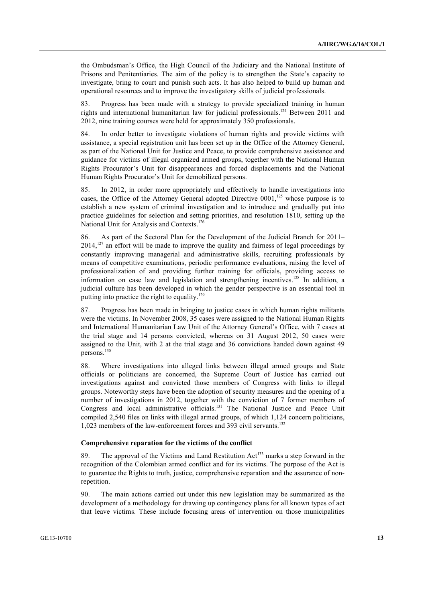the Ombudsman's Office, the High Council of the Judiciary and the National Institute of Prisons and Penitentiaries. The aim of the policy is to strengthen the State's capacity to investigate, bring to court and punish such acts. It has also helped to build up human and operational resources and to improve the investigatory skills of judicial professionals.

83. Progress has been made with a strategy to provide specialized training in human rights and international humanitarian law for judicial professionals.<sup>124</sup> Between 2011 and 2012, nine training courses were held for approximately 350 professionals.

84. In order better to investigate violations of human rights and provide victims with assistance, a special registration unit has been set up in the Office of the Attorney General, as part of the National Unit for Justice and Peace, to provide comprehensive assistance and guidance for victims of illegal organized armed groups, together with the National Human Rights Procurator's Unit for disappearances and forced displacements and the National Human Rights Procurator's Unit for demobilized persons.

85. In 2012, in order more appropriately and effectively to handle investigations into cases, the Office of the Attorney General adopted Directive  $0001$ ,<sup>125</sup> whose purpose is to establish a new system of criminal investigation and to introduce and gradually put into practice guidelines for selection and setting priorities, and resolution 1810, setting up the National Unit for Analysis and Contexts.<sup>126</sup>

86. As part of the Sectoral Plan for the Development of the Judicial Branch for 2011–  $2014$ ,<sup>127</sup> an effort will be made to improve the quality and fairness of legal proceedings by constantly improving managerial and administrative skills, recruiting professionals by means of competitive examinations, periodic performance evaluations, raising the level of professionalization of and providing further training for officials, providing access to information on case law and legislation and strengthening incentives.<sup>128</sup> In addition, a judicial culture has been developed in which the gender perspective is an essential tool in putting into practice the right to equality.<sup>129</sup>

87. Progress has been made in bringing to justice cases in which human rights militants were the victims. In November 2008, 35 cases were assigned to the National Human Rights and International Humanitarian Law Unit of the Attorney General's Office, with 7 cases at the trial stage and 14 persons convicted, whereas on 31 August 2012, 50 cases were assigned to the Unit, with 2 at the trial stage and 36 convictions handed down against 49 persons.<sup>130</sup>

88. Where investigations into alleged links between illegal armed groups and State officials or politicians are concerned, the Supreme Court of Justice has carried out investigations against and convicted those members of Congress with links to illegal groups. Noteworthy steps have been the adoption of security measures and the opening of a number of investigations in 2012, together with the conviction of 7 former members of Congress and local administrative officials.<sup>131</sup> The National Justice and Peace Unit compiled 2,540 files on links with illegal armed groups, of which 1,124 concern politicians, 1,023 members of the law-enforcement forces and 393 civil servants.<sup>132</sup>

#### **Comprehensive reparation for the victims of the conflict**

89. The approval of the Victims and Land Restitution  $Act^{133}$  marks a step forward in the recognition of the Colombian armed conflict and for its victims. The purpose of the Act is to guarantee the Rights to truth, justice, comprehensive reparation and the assurance of nonrepetition.

90. The main actions carried out under this new legislation may be summarized as the development of a methodology for drawing up contingency plans for all known types of act that leave victims. These include focusing areas of intervention on those municipalities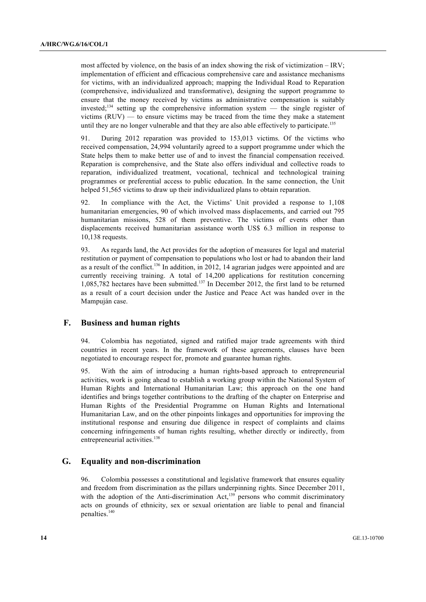most affected by violence, on the basis of an index showing the risk of victimization – IRV; implementation of efficient and efficacious comprehensive care and assistance mechanisms for victims, with an individualized approach; mapping the Individual Road to Reparation (comprehensive, individualized and transformative), designing the support programme to ensure that the money received by victims as administrative compensation is suitably invested:<sup>134</sup> setting up the comprehensive information system  $-$  the single register of victims  $(RUV)$  — to ensure victims may be traced from the time they make a statement until they are no longer vulnerable and that they are also able effectively to participate.<sup>135</sup>

91. During 2012 reparation was provided to 153,013 victims. Of the victims who received compensation, 24,994 voluntarily agreed to a support programme under which the State helps them to make better use of and to invest the financial compensation received. Reparation is comprehensive, and the State also offers individual and collective roads to reparation, individualized treatment, vocational, technical and technological training programmes or preferential access to public education. In the same connection, the Unit helped 51,565 victims to draw up their individualized plans to obtain reparation.

92. In compliance with the Act, the Victims' Unit provided a response to 1,108 humanitarian emergencies, 90 of which involved mass displacements, and carried out 795 humanitarian missions, 528 of them preventive. The victims of events other than displacements received humanitarian assistance worth US\$ 6.3 million in response to 10,138 requests.

93. As regards land, the Act provides for the adoption of measures for legal and material restitution or payment of compensation to populations who lost or had to abandon their land as a result of the conflict.<sup>136</sup> In addition, in 2012, 14 agrarian judges were appointed and are currently receiving training. A total of 14,200 applications for restitution concerning 1,085,782 hectares have been submitted.<sup>137</sup> In December 2012, the first land to be returned as a result of a court decision under the Justice and Peace Act was handed over in the Mampuján case.

### **F. Business and human rights**

94. Colombia has negotiated, signed and ratified major trade agreements with third countries in recent years. In the framework of these agreements, clauses have been negotiated to encourage respect for, promote and guarantee human rights.

95. With the aim of introducing a human rights-based approach to entrepreneurial activities, work is going ahead to establish a working group within the National System of Human Rights and International Humanitarian Law; this approach on the one hand identifies and brings together contributions to the drafting of the chapter on Enterprise and Human Rights of the Presidential Programme on Human Rights and International Humanitarian Law, and on the other pinpoints linkages and opportunities for improving the institutional response and ensuring due diligence in respect of complaints and claims concerning infringements of human rights resulting, whether directly or indirectly, from entrepreneurial activities.<sup>138</sup>

#### **G. Equality and non-discrimination**

96. Colombia possesses a constitutional and legislative framework that ensures equality and freedom from discrimination as the pillars underpinning rights. Since December 2011, with the adoption of the Anti-discrimination Act, $139$  persons who commit discriminatory acts on grounds of ethnicity, sex or sexual orientation are liable to penal and financial penalties.<sup>140</sup>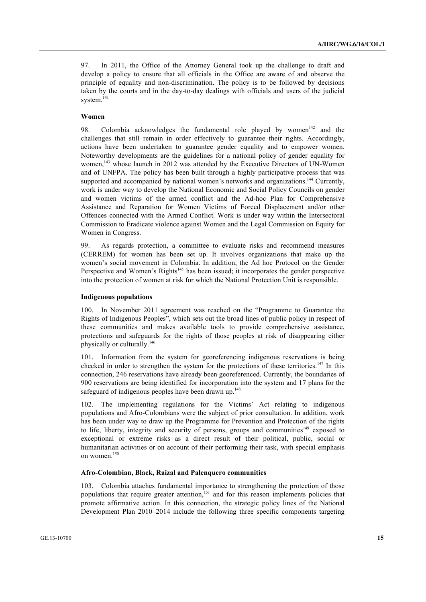97. In 2011, the Office of the Attorney General took up the challenge to draft and develop a policy to ensure that all officials in the Office are aware of and observe the principle of equality and non-discrimination. The policy is to be followed by decisions taken by the courts and in the day-to-day dealings with officials and users of the judicial system.<sup>141</sup>

### **Women**

98. Colombia acknowledges the fundamental role played by women<sup>142</sup> and the challenges that still remain in order effectively to guarantee their rights. Accordingly, actions have been undertaken to guarantee gender equality and to empower women. Noteworthy developments are the guidelines for a national policy of gender equality for women,<sup>143</sup> whose launch in 2012 was attended by the Executive Directors of UN-Women and of UNFPA. The policy has been built through a highly participative process that was supported and accompanied by national women's networks and organizations.<sup>144</sup> Currently, work is under way to develop the National Economic and Social Policy Councils on gender and women victims of the armed conflict and the Ad-hoc Plan for Comprehensive Assistance and Reparation for Women Victims of Forced Displacement and/or other Offences connected with the Armed Conflict. Work is under way within the Intersectoral Commission to Eradicate violence against Women and the Legal Commission on Equity for Women in Congress.

99. As regards protection, a committee to evaluate risks and recommend measures (CERREM) for women has been set up. It involves organizations that make up the women's social movement in Colombia. In addition, the Ad hoc Protocol on the Gender Perspective and Women's Rights<sup>145</sup> has been issued; it incorporates the gender perspective into the protection of women at risk for which the National Protection Unit is responsible.

#### **Indigenous populations**

100. In November 2011 agreement was reached on the "Programme to Guarantee the Rights of Indigenous Peoples", which sets out the broad lines of public policy in respect of these communities and makes available tools to provide comprehensive assistance, protections and safeguards for the rights of those peoples at risk of disappearing either physically or culturally.<sup>146</sup>

101. Information from the system for georeferencing indigenous reservations is being checked in order to strengthen the system for the protections of these territories.<sup>147</sup> In this connection, 246 reservations have already been georeferenced. Currently, the boundaries of 900 reservations are being identified for incorporation into the system and 17 plans for the safeguard of indigenous peoples have been drawn up.<sup>148</sup>

102. The implementing regulations for the Victims' Act relating to indigenous populations and Afro-Colombians were the subject of prior consultation. In addition, work has been under way to draw up the Programme for Prevention and Protection of the rights to life, liberty, integrity and security of persons, groups and communities<sup>149</sup> exposed to exceptional or extreme risks as a direct result of their political, public, social or humanitarian activities or on account of their performing their task, with special emphasis on women.<sup>150</sup>

#### **Afro-Colombian, Black, Raizal and Palenquero communities**

103. Colombia attaches fundamental importance to strengthening the protection of those populations that require greater attention,<sup>151</sup> and for this reason implements policies that promote affirmative action. In this connection, the strategic policy lines of the National Development Plan 2010–2014 include the following three specific components targeting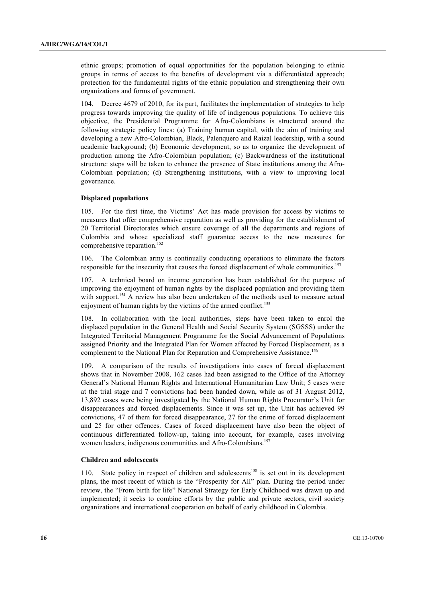ethnic groups; promotion of equal opportunities for the population belonging to ethnic groups in terms of access to the benefits of development via a differentiated approach; protection for the fundamental rights of the ethnic population and strengthening their own organizations and forms of government.

104. Decree 4679 of 2010, for its part, facilitates the implementation of strategies to help progress towards improving the quality of life of indigenous populations. To achieve this objective, the Presidential Programme for Afro-Colombians is structured around the following strategic policy lines: (a) Training human capital, with the aim of training and developing a new Afro-Colombian, Black, Palenquero and Raizal leadership, with a sound academic background; (b) Economic development, so as to organize the development of production among the Afro-Colombian population; (c) Backwardness of the institutional structure: steps will be taken to enhance the presence of State institutions among the Afro-Colombian population; (d) Strengthening institutions, with a view to improving local governance.

#### **Displaced populations**

105. For the first time, the Victims' Act has made provision for access by victims to measures that offer comprehensive reparation as well as providing for the establishment of 20 Territorial Directorates which ensure coverage of all the departments and regions of Colombia and whose specialized staff guarantee access to the new measures for comprehensive reparation.<sup>152</sup>

106. The Colombian army is continually conducting operations to eliminate the factors responsible for the insecurity that causes the forced displacement of whole communities.<sup>153</sup>

107. A technical board on income generation has been established for the purpose of improving the enjoyment of human rights by the displaced population and providing them with support.<sup>154</sup> A review has also been undertaken of the methods used to measure actual enjoyment of human rights by the victims of the armed conflict.<sup>155</sup>

108. In collaboration with the local authorities, steps have been taken to enrol the displaced population in the General Health and Social Security System (SGSSS) under the Integrated Territorial Management Programme for the Social Advancement of Populations assigned Priority and the Integrated Plan for Women affected by Forced Displacement, as a complement to the National Plan for Reparation and Comprehensive Assistance.<sup>156</sup>

109. A comparison of the results of investigations into cases of forced displacement shows that in November 2008, 162 cases had been assigned to the Office of the Attorney General's National Human Rights and International Humanitarian Law Unit; 5 cases were at the trial stage and 7 convictions had been handed down, while as of 31 August 2012, 13,892 cases were being investigated by the National Human Rights Procurator's Unit for disappearances and forced displacements. Since it was set up, the Unit has achieved 99 convictions, 47 of them for forced disappearance, 27 for the crime of forced displacement and 25 for other offences. Cases of forced displacement have also been the object of continuous differentiated follow-up, taking into account, for example, cases involving women leaders, indigenous communities and Afro-Colombians.<sup>157</sup>

#### **Children and adolescents**

110. State policy in respect of children and adolescents<sup>158</sup> is set out in its development plans, the most recent of which is the "Prosperity for All" plan. During the period under review, the "From birth for life" National Strategy for Early Childhood was drawn up and implemented; it seeks to combine efforts by the public and private sectors, civil society organizations and international cooperation on behalf of early childhood in Colombia.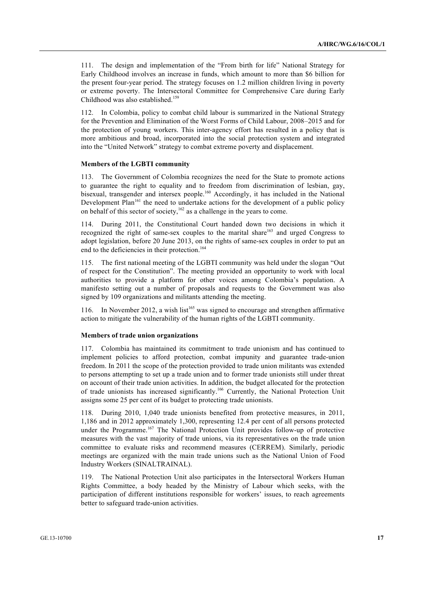111. The design and implementation of the "From birth for life" National Strategy for Early Childhood involves an increase in funds, which amount to more than \$6 billion for the present four-year period. The strategy focuses on 1.2 million children living in poverty or extreme poverty. The Intersectoral Committee for Comprehensive Care during Early Childhood was also established.<sup>159</sup>

112. In Colombia, policy to combat child labour is summarized in the National Strategy for the Prevention and Elimination of the Worst Forms of Child Labour, 2008–2015 and for the protection of young workers. This inter-agency effort has resulted in a policy that is more ambitious and broad, incorporated into the social protection system and integrated into the "United Network" strategy to combat extreme poverty and displacement.

#### **Members of the LGBTI community**

113. The Government of Colombia recognizes the need for the State to promote actions to guarantee the right to equality and to freedom from discrimination of lesbian, gay, bisexual, transgender and intersex people.<sup>160</sup> Accordingly, it has included in the National Development  $Plan<sup>161</sup>$  the need to undertake actions for the development of a public policy on behalf of this sector of society,<sup>162</sup> as a challenge in the years to come.

114. During 2011, the Constitutional Court handed down two decisions in which it recognized the right of same-sex couples to the marital share<sup>163</sup> and urged Congress to adopt legislation, before 20 June 2013, on the rights of same-sex couples in order to put an end to the deficiencies in their protection.<sup>164</sup>

115. The first national meeting of the LGBTI community was held under the slogan "Out of respect for the Constitution". The meeting provided an opportunity to work with local authorities to provide a platform for other voices among Colombia's population. A manifesto setting out a number of proposals and requests to the Government was also signed by 109 organizations and militants attending the meeting.

116. In November 2012, a wish list<sup>165</sup> was signed to encourage and strengthen affirmative action to mitigate the vulnerability of the human rights of the LGBTI community.

#### **Members of trade union organizations**

117. Colombia has maintained its commitment to trade unionism and has continued to implement policies to afford protection, combat impunity and guarantee trade-union freedom. In 2011 the scope of the protection provided to trade union militants was extended to persons attempting to set up a trade union and to former trade unionists still under threat on account of their trade union activities. In addition, the budget allocated for the protection of trade unionists has increased significantly.166 Currently, the National Protection Unit assigns some 25 per cent of its budget to protecting trade unionists.

118. During 2010, 1,040 trade unionists benefited from protective measures, in 2011, 1,186 and in 2012 approximately 1,300, representing 12.4 per cent of all persons protected under the Programme.<sup>167</sup> The National Protection Unit provides follow-up of protective measures with the vast majority of trade unions, via its representatives on the trade union committee to evaluate risks and recommend measures (CERREM). Similarly, periodic meetings are organized with the main trade unions such as the National Union of Food Industry Workers (SINALTRAINAL).

119. The National Protection Unit also participates in the Intersectoral Workers Human Rights Committee, a body headed by the Ministry of Labour which seeks, with the participation of different institutions responsible for workers' issues, to reach agreements better to safeguard trade-union activities.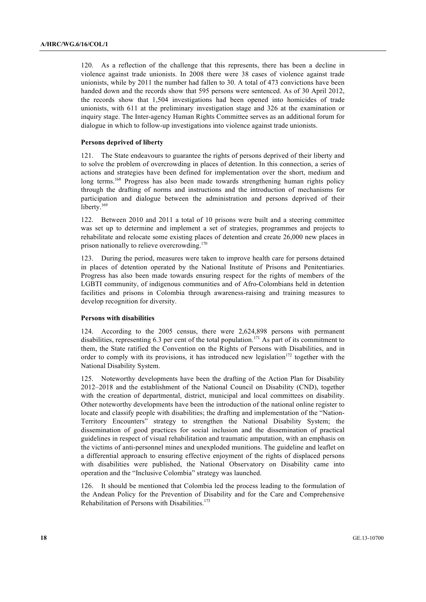120. As a reflection of the challenge that this represents, there has been a decline in violence against trade unionists. In 2008 there were 38 cases of violence against trade unionists, while by 2011 the number had fallen to 30. A total of 473 convictions have been handed down and the records show that 595 persons were sentenced. As of 30 April 2012, the records show that 1,504 investigations had been opened into homicides of trade unionists, with 611 at the preliminary investigation stage and 326 at the examination or inquiry stage. The Inter-agency Human Rights Committee serves as an additional forum for dialogue in which to follow-up investigations into violence against trade unionists.

#### **Persons deprived of liberty**

121. The State endeavours to guarantee the rights of persons deprived of their liberty and to solve the problem of overcrowding in places of detention. In this connection, a series of actions and strategies have been defined for implementation over the short, medium and long terms.<sup>168</sup> Progress has also been made towards strengthening human rights policy through the drafting of norms and instructions and the introduction of mechanisms for participation and dialogue between the administration and persons deprived of their liberty.<sup>169</sup>

122. Between 2010 and 2011 a total of 10 prisons were built and a steering committee was set up to determine and implement a set of strategies, programmes and projects to rehabilitate and relocate some existing places of detention and create 26,000 new places in prison nationally to relieve overcrowding.<sup>170</sup>

123. During the period, measures were taken to improve health care for persons detained in places of detention operated by the National Institute of Prisons and Penitentiaries. Progress has also been made towards ensuring respect for the rights of members of the LGBTI community, of indigenous communities and of Afro-Colombians held in detention facilities and prisons in Colombia through awareness-raising and training measures to develop recognition for diversity.

#### **Persons with disabilities**

124. According to the 2005 census, there were 2,624,898 persons with permanent disabilities, representing 6.3 per cent of the total population.<sup>171</sup> As part of its commitment to them, the State ratified the Convention on the Rights of Persons with Disabilities, and in order to comply with its provisions, it has introduced new legislation $172$  together with the National Disability System.

125. Noteworthy developments have been the drafting of the Action Plan for Disability 2012–2018 and the establishment of the National Council on Disability (CND), together with the creation of departmental, district, municipal and local committees on disability. Other noteworthy developments have been the introduction of the national online register to locate and classify people with disabilities; the drafting and implementation of the "Nation-Territory Encounters" strategy to strengthen the National Disability System; the dissemination of good practices for social inclusion and the dissemination of practical guidelines in respect of visual rehabilitation and traumatic amputation, with an emphasis on the victims of anti-personnel mines and unexploded munitions. The guideline and leaflet on a differential approach to ensuring effective enjoyment of the rights of displaced persons with disabilities were published, the National Observatory on Disability came into operation and the "Inclusive Colombia" strategy was launched.

126. It should be mentioned that Colombia led the process leading to the formulation of the Andean Policy for the Prevention of Disability and for the Care and Comprehensive Rehabilitation of Persons with Disabilities.<sup>173</sup>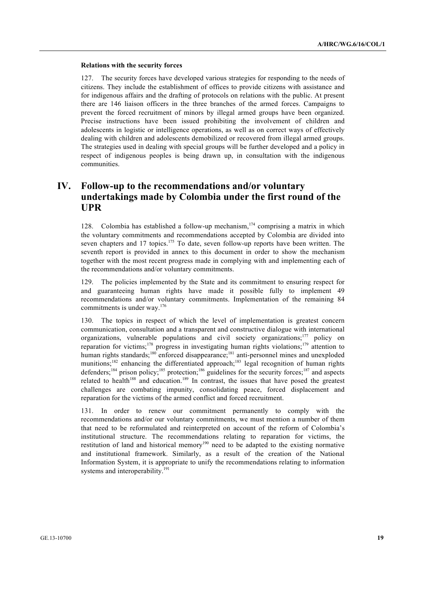#### **Relations with the security forces**

127. The security forces have developed various strategies for responding to the needs of citizens. They include the establishment of offices to provide citizens with assistance and for indigenous affairs and the drafting of protocols on relations with the public. At present there are 146 liaison officers in the three branches of the armed forces. Campaigns to prevent the forced recruitment of minors by illegal armed groups have been organized. Precise instructions have been issued prohibiting the involvement of children and adolescents in logistic or intelligence operations, as well as on correct ways of effectively dealing with children and adolescents demobilized or recovered from illegal armed groups. The strategies used in dealing with special groups will be further developed and a policy in respect of indigenous peoples is being drawn up, in consultation with the indigenous communities.

## **IV. Follow-up to the recommendations and/or voluntary undertakings made by Colombia under the first round of the UPR**

128. Colombia has established a follow-up mechanism,  $174$  comprising a matrix in which the voluntary commitments and recommendations accepted by Colombia are divided into seven chapters and 17 topics.<sup>175</sup> To date, seven follow-up reports have been written. The seventh report is provided in annex to this document in order to show the mechanism together with the most recent progress made in complying with and implementing each of the recommendations and/or voluntary commitments.

129. The policies implemented by the State and its commitment to ensuring respect for and guaranteeing human rights have made it possible fully to implement 49 recommendations and/or voluntary commitments. Implementation of the remaining 84 commitments is under way.<sup>176</sup>

130. The topics in respect of which the level of implementation is greatest concern communication, consultation and a transparent and constructive dialogue with international organizations, vulnerable populations and civil society organizations;<sup>177</sup> policy on reparation for victims;<sup>178</sup> progress in investigating human rights violations;<sup>179</sup> attention to human rights standards;<sup>180</sup> enforced disappearance;<sup>181</sup> anti-personnel mines and unexploded munitions;<sup>182</sup> enhancing the differentiated approach;<sup>183</sup> legal recognition of human rights defenders;<sup>184</sup> prison policy;<sup>185</sup> protection;<sup>186</sup> guidelines for the security forces;<sup>187</sup> and aspects related to health<sup>188</sup> and education.<sup>189</sup> In contrast, the issues that have posed the greatest challenges are combating impunity, consolidating peace, forced displacement and reparation for the victims of the armed conflict and forced recruitment.

131. In order to renew our commitment permanently to comply with the recommendations and/or our voluntary commitments, we must mention a number of them that need to be reformulated and reinterpreted on account of the reform of Colombia's institutional structure. The recommendations relating to reparation for victims, the restitution of land and historical memory<sup>190</sup> need to be adapted to the existing normative and institutional framework. Similarly, as a result of the creation of the National Information System, it is appropriate to unify the recommendations relating to information systems and interoperability.<sup>191</sup>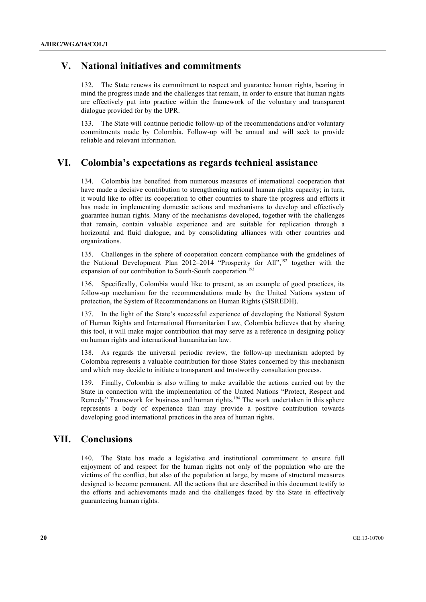## **V. National initiatives and commitments**

132. The State renews its commitment to respect and guarantee human rights, bearing in mind the progress made and the challenges that remain, in order to ensure that human rights are effectively put into practice within the framework of the voluntary and transparent dialogue provided for by the UPR.

133. The State will continue periodic follow-up of the recommendations and/or voluntary commitments made by Colombia. Follow-up will be annual and will seek to provide reliable and relevant information.

## **VI. Colombia's expectations as regards technical assistance**

134. Colombia has benefited from numerous measures of international cooperation that have made a decisive contribution to strengthening national human rights capacity; in turn, it would like to offer its cooperation to other countries to share the progress and efforts it has made in implementing domestic actions and mechanisms to develop and effectively guarantee human rights. Many of the mechanisms developed, together with the challenges that remain, contain valuable experience and are suitable for replication through a horizontal and fluid dialogue, and by consolidating alliances with other countries and organizations.

135. Challenges in the sphere of cooperation concern compliance with the guidelines of the National Development Plan  $2012-2014$  "Prosperity for All",<sup>192</sup> together with the expansion of our contribution to South-South cooperation.<sup>193</sup>

136. Specifically, Colombia would like to present, as an example of good practices, its follow-up mechanism for the recommendations made by the United Nations system of protection, the System of Recommendations on Human Rights (SISREDH).

137. In the light of the State's successful experience of developing the National System of Human Rights and International Humanitarian Law, Colombia believes that by sharing this tool, it will make major contribution that may serve as a reference in designing policy on human rights and international humanitarian law.

138. As regards the universal periodic review, the follow-up mechanism adopted by Colombia represents a valuable contribution for those States concerned by this mechanism and which may decide to initiate a transparent and trustworthy consultation process.

139. Finally, Colombia is also willing to make available the actions carried out by the State in connection with the implementation of the United Nations "Protect, Respect and Remedy" Framework for business and human rights.<sup>194</sup> The work undertaken in this sphere represents a body of experience than may provide a positive contribution towards developing good international practices in the area of human rights.

## **VII. Conclusions**

140. The State has made a legislative and institutional commitment to ensure full enjoyment of and respect for the human rights not only of the population who are the victims of the conflict, but also of the population at large, by means of structural measures designed to become permanent. All the actions that are described in this document testify to the efforts and achievements made and the challenges faced by the State in effectively guaranteeing human rights.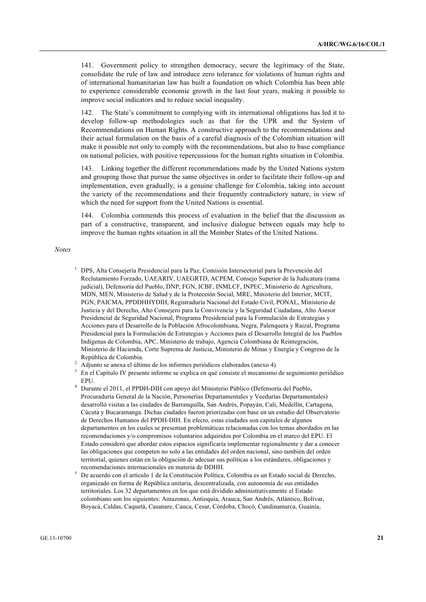141. Government policy to strengthen democracy, secure the legitimacy of the State, consolidate the rule of law and introduce zero tolerance for violations of human rights and of international humanitarian law has built a foundation on which Colombia has been able to experience considerable economic growth in the last four years, making it possible to improve social indicators and to reduce social inequality.

142. The State's commitment to complying with its international obligations has led it to develop follow-up methodologies such as that for the UPR and the System of Recommendations on Human Rights. A constructive approach to the recommendations and their actual formulation on the basis of a careful diagnosis of the Colombian situation will make it possible not only to comply with the recommendations, but also to base compliance on national policies, with positive repercussions for the human rights situation in Colombia.

143. Linking together the different recommendations made by the United Nations system and grouping those that pursue the same objectives in order to facilitate their follow-up and implementation, even gradually, is a genuine challenge for Colombia, taking into account the variety of the recommendations and their frequently contradictory nature, in view of which the need for support from the United Nations is essential.

144. Colombia commends this process of evaluation in the belief that the discussion as part of a constructive, transparent, and inclusive dialogue between equals may help to improve the human rights situation in all the Member States of the United Nations.

*Notes*

- <sup>1</sup> DPS, Alta Consejería Presidencial para la Paz, Comisión Intersectorial para la Prevención del Reclutamiento Forzado, UAEARIV, UAEGRTD, ACPEM, Consejo Superior de la Judicatura (rama judicial), Defensoría del Pueblo, DNP, FGN, ICBF, INMLCF, INPEC, Ministerio de Agricultura, MDN, MEN, Ministerio de Salud y de la Protección Social, MRE, Ministerio del Interior, MCIT, PGN, PAICMA, PPDDHHYDIH, Registraduría Nacional del Estado Civil, PONAL, Ministerio de Justicia y del Derecho, Alto Consejero para la Convivencia y la Seguridad Ciudadana, Alto Asesor Presidencial de Seguridad Nacional, Programa Presidencial para la Formulación de Estrategias y Acciones para el Desarrollo de la Población Afrocolombiana, Negra, Palenquera y Raizal, Programa Presidencial para la Formulación de Estrategias y Acciones para el Desarrollo Integral de los Pueblos Indígenas de Colombia, APC, Ministerio de trabajo, Agencia Colombiana de Reintegración, Ministerio de Hacienda, Corte Suprema de Justicia, Ministerio de Minas y Energía y Congreso de la República de Colombia.
- <sup>2</sup> Adjunto se anexa el último de los informes periódicos elaborados (anexo 4).<br><sup>3</sup> En el Graídel Waracarte informe o esculto en entienente el mesocimo.
- <sup>3</sup> En el Capítulo IV presente informe se explica en qué consiste el mecanismo de seguimiento periódico EPU.
- <sup>4</sup> Durante el 2011, el PPDH-DIH con apoyo del Ministerio Público (Defensoría del Pueblo, Procuraduría General de la Nación, Personerías Departamentales y Veedurías Departamentales) desarrolló visitas a las ciudades de Barranquilla, San Andrés, Popayán, Cali, Medellín, Cartagena, Cúcuta y Bucaramanga. Dichas ciudades fueron priorizadas con base en un estudio del Observatorio de Derechos Humanos del PPDH-DIH. En efecto, estas ciudades son capitales de algunos departamentos en los cuales se presentan problemáticas relacionadas con los temas abordados en las recomendaciones y/o compromisos voluntarios adquiridos por Colombia en el marco del EPU. El Estado consideró que abordar estos espacios significaría implementar regionalmente y dar a conocer las obligaciones que competen no solo a las entidades del orden nacional, sino también del orden territorial, quienes están en la obligación de adecuar sus políticas a los estándares, obligaciones y recomendaciones internacionales en materia de DDHH.
- $5$  De acuerdo con el artículo 1 de la Constitución Política, Colombia es un Estado social de Derecho, organizado en forma de República unitaria, descentralizada, con autonomía de sus entidades territoriales. Los 32 departamentos en los que está dividido administrativamente el Estado colombiano son los siguientes: Amazonas, Antioquia, Arauca, San Andrés, Atlántico, Bolívar, Boyacá, Caldas, Caquetá, Casanare, Cauca, Cesar, Córdoba, Chocó, Cundinamarca, Guainía,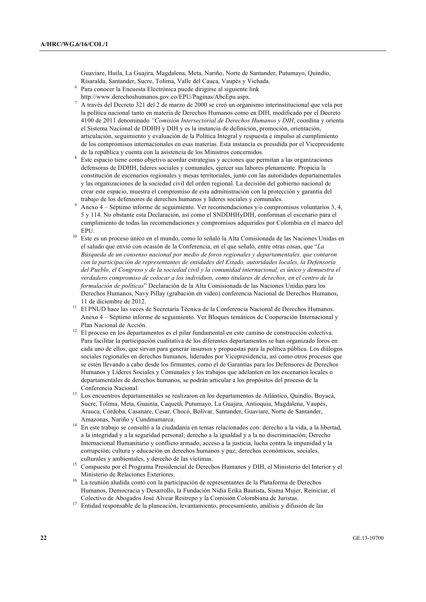Guaviare, Huila, La Guajira, Magdalena, Meta, Nariño, Norte de Santander, Putumayo, Quindío, Risaralda, Santander, Sucre, Tolima, Valle del Cauca, Vaupés y Vichada.

- <sup>6</sup> Para conocer la Encuesta Electrónica puede dirigirse al siguiente link
- http://www.derechoshumanos.gov.co/EPU/Paginas/AbcEpu.aspx.<br>A través del Decreto 321 del 2 de marzo de 2000 se creó un organismo interinstitucional que vela por la política nacional tanto en materia de Derechos Humanos como en DIH, modificado por el Decreto 4100 de 2011 denominado *"Comisión Intersectorial de Derechos Humanos y DIH*, coordina y orienta el Sistema Nacional de DDHH y DIH y es la instancia de definición, promoción, orientación, articulación, seguimiento y evaluación de la Política Integral y respuesta e impulso al cumplimiento de los compromisos internacionales en esas materias. Esta instancia es presidida por el Vicepresidente de la república y cuenta con la asistencia de los Ministros concernidos.
- Este espacio tiene como objetivo acordar estrategias y acciones que permitan a las organizaciones defensoras de DDHH, líderes sociales y comunales, ejercer sus labores plenamente. Propicia la constitución de escenarios regionales y mesas territoriales, junto con las autoridades departamentales y las organizaciones de la sociedad civil del orden regional. La decisión del gobierno nacional de crear este espacio, muestra el compromiso de esta administración con la protección y garantía del trabajo de los defensores de derechos humanos y líderes sociales y comunales.
- <sup>9</sup> Anexo 4 Séptimo informe de seguimiento. Ver recomendaciones y/o compromisos voluntarios 3, 4, 5 y 114. No obstante esta Declaración, así como el SNDDHHyDIH, conforman el escenario para el cumplimiento de todas las recomendaciones y compromisos adquiridos por Colombia en el marco del EPU.
- <sup>10</sup> Este es un proceso único en el mundo, como lo señaló la Alta Comisionada de las Naciones Unidas en el saludo que envió con ocasión de la Conferencia, en el que señaló, entre otras cosas, que "*La Búsqueda de un consenso nacional por medio de foros regionales y departamentales, que contaron con la participación de representantes de entidades del Estado, autoridades locales, la Defensoría del Pueblo, el Congreso y de la sociedad civil y la comunidad internacional, es único y demuestra el verdadero compromiso de colocar a los individuos, como titulares de derechos, en el centro de la formulación de políticas*" Declaración de la Alta Comisionada de las Naciones Unidas para los Derechos Humanos, Navy Pillay (grabación en video) conferencia Nacional de Derechos Humanos, 11 de diciembre de 2012.
- <sup>11</sup> El PNUD hace las veces de Secretaría Técnica de la Conferencia Nacional de Derechos Humanos. Anexo 4 – Séptimo informe de seguimiento. Ver Bloques temáticos de Cooperación Internacional y Plan Nacional de Acción.
- <sup>12</sup> El proceso en los departamentos es el pilar fundamental en este camino de construcción colectiva. Para facilitar la participación cualitativa de los diferentes departamentos se han organizado foros en cada uno de ellos, que sirvan para generar insumos y propuestas para la política pública. Los diálogos sociales regionales en derechos humanos, liderados por Vicepresidencia, así como otros procesos que se estén llevando a cabo desde los firmantes, como el de Garantías para los Defensores de Derechos Humanos y Líderes Sociales y Comunales y los trabajos que adelanten en los escenarios locales o departamentales de derechos humanos, se podrán articular a los propósitos del proceso de la Conferencia Nacional.
- <sup>13</sup> Los encuentros departamentales se realizaron en los departamentos de Atlántico, Quindío, Boyacá, Sucre, Tolima, Meta, Guainía, Caquetá, Putumayo, La Guajira, Antioquia, Magdalena, Vaupés, Arauca, Córdoba, Casanare, Cesar, Chocó, Bolívar, Santander, Guaviare, Norte de Santander, Amazonas, Nariño y Cundinamarca.
- <sup>14</sup> En este trabajo se consultó a la ciudadanía en temas relacionados con: derecho a la vida, a la libertad, a la integridad y a la seguridad personal; derecho a la igualdad y a la no discriminación; Derecho Internacional Humanitario y conflicto armado; acceso a la justicia, lucha contra la impunidad y la corrupción; cultura y educación en derechos humanos y paz; derechos económicos, sociales, culturales y ambientales, y derecho de las víctimas.
- <sup>15</sup> Compuesto por el Programa Presidencial de Derechos Humanos y DIH, el Ministerio del Interior y el Ministerio de Relaciones Exteriores.
- <sup>16</sup> La reunión aludida contó con la participación de representantes de la Plataforma de Derechos Humanos, Democracia y Desarrollo, la Fundación Nidia Erika Bautista, Sisma Mujer, Reiniciar, el Colectivo de Abogados José Alvear Restrepo y la Comisión Colombiana de Juristas.
- <sup>17</sup> Entidad responsable de la planeación, levantamiento, procesamiento, análisis y difusión de las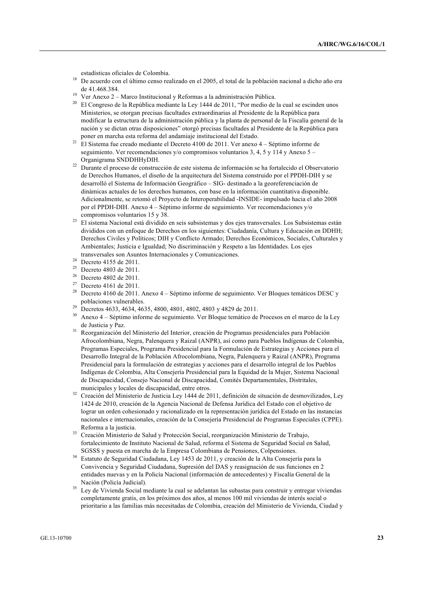estadísticas oficiales de Colombia.

- <sup>18</sup> De acuerdo con el último censo realizado en el 2005, el total de la población nacional a dicho año era de 41.468.384.
- <sup>19</sup> Ver Anexo 2 Marco Institucional y Reformas a la administración Pública.
- <sup>20</sup> El Congreso de la República mediante la Ley 1444 de 2011, "Por medio de la cual se escinden unos Ministerios, se otorgan precisas facultades extraordinarias al Presidente de la República para modificar la estructura de la administración pública y la planta de personal de la Fiscalía general de la nación y se dictan otras disposiciones" otorgó precisas facultades al Presidente de la República para poner en marcha esta reforma del andamiaje institucional del Estado.
- <sup>21</sup> El Sistema fue creado mediante el Decreto 4100 de 2011. Ver anexo 4 Séptimo informe de seguimiento. Ver recomendaciones y/o compromisos voluntarios 3, 4, 5 y 114 y Anexo 5 – Organigrama SNDDHHyDIH.
- $22$  Durante el proceso de construcción de este sistema de información se ha fortalecido el Observatorio de Derechos Humanos, el diseño de la arquitectura del Sistema construido por el PPDH-DIH y se desarrolló el Sistema de Información Geográfico – SIG- destinado a la georeferenciación de dinámicas actuales de los derechos humanos, con base en la información cuantitativa disponible. Adicionalmente, se retomó el Proyecto de Interoperabilidad -INSIDE- impulsado hacia el año 2008 por el PPDH-DIH. Anexo 4 – Séptimo informe de seguimiento. Ver recomendaciones y/o compromisos voluntarios 15 y 38.
- <sup>23</sup> El sistema Nacional está dividido en seis subsistemas y dos ejes transversales. Los Subsistemas están divididos con un enfoque de Derechos en los siguientes: Ciudadanía, Cultura y Educación en DDHH; Derechos Civiles y Políticos; DIH y Conflicto Armado; Derechos Económicos, Sociales, Culturales y Ambientales; Justicia e Igualdad; No discriminación y Respeto a las Identidades. Los ejes transversales son Asuntos Internacionales y Comunicaciones.
- <sup>24</sup> Decreto 4155 de 2011.
- 
- <sup>25</sup> Decreto 4803 de 2011. Decreto 4802 de 2011.
- <sup>27</sup> Decreto 4161 de 2011.
- <sup>28</sup> Decreto 4160 de 2011. Anexo 4 Séptimo informe de seguimiento. Ver Bloques temáticos DESC y poblaciones vulnerables.
- <sup>29</sup> Decretos 4633, 4634, 4635, 4800, 4801, 4802, 4803 y 4829 de 2011.
- <sup>30</sup> Anexo 4 Séptimo informe de seguimiento. Ver Bloque temático de Procesos en el marco de la Ley de Justicia y Paz.
- <sup>31</sup> Reorganización del Ministerio del Interior, creación de Programas presidenciales para Población Afrocolombiana, Negra, Palenquera y Raizal (ANPR), así como para Pueblos Indígenas de Colombia, Programas Especiales, Programa Presidencial para la Formulación de Estrategias y Acciones para el Desarrollo Integral de la Población Afrocolombiana, Negra, Palenquera y Raizal (ANPR), Programa Presidencial para la formulación de estrategias y acciones para el desarrollo integral de los Pueblos Indígenas de Colombia, Alta Consejería Presidencial para la Equidad de la Mujer, Sistema Nacional de Discapacidad, Consejo Nacional de Discapacidad, Comités Departamentales, Distritales, municipales y locales de discapacidad, entre otros.
- <sup>32</sup> Creación del Ministerio de Justicia Ley 1444 de 2011, definición de situación de desmovilizados, Ley 1424 de 2010, creación de la Agencia Nacional de Defensa Jurídica del Estado con el objetivo de lograr un orden cohesionado y racionalizado en la representación jurídica del Estado en las instancias nacionales e internacionales, creación de la Consejería Presidencial de Programas Especiales (CPPE). Reforma a la justicia.
- <sup>33</sup> Creación Ministerio de Salud y Protección Social, reorganización Ministerio de Trabajo, fortalecimiento de Instituto Nacional de Salud, reforma el Sistema de Seguridad Social en Salud, SGSSS y puesta en marcha de la Empresa Colombiana de Pensiones, Colpensiones.
- <sup>34</sup> Estatuto de Seguridad Ciudadana, Ley 1453 de 2011, y creación de la Alta Consejería para la Convivencia y Seguridad Ciudadana, Supresión del DAS y reasignación de sus funciones en 2 entidades nuevas y en la Policía Nacional (información de antecedentes) y Fiscalía General de la Nación (Policía Judicial).
- <sup>35</sup> Ley de Vivienda Social mediante la cual se adelantan las subastas para construir y entregar viviendas completamente gratis, en los próximos dos años, al menos 100 mil viviendas de interés social o prioritario a las familias más necesitadas de Colombia, creación del Ministerio de Vivienda, Ciudad y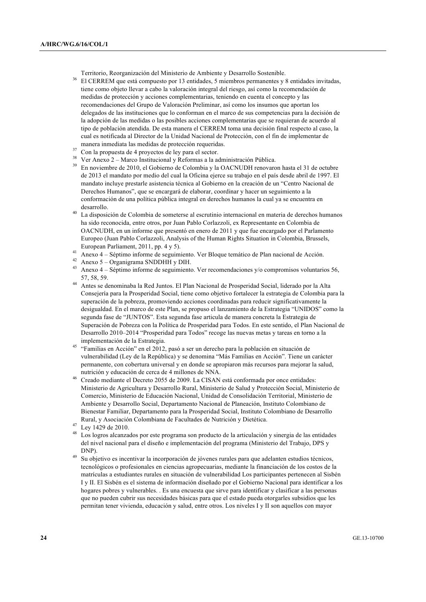Territorio, Reorganización del Ministerio de Ambiente y Desarrollo Sostenible.

- <sup>36</sup> El CERREM que está compuesto por 13 entidades, 5 miembros permanentes y 8 entidades invitadas, tiene como objeto llevar a cabo la valoración integral del riesgo, así como la recomendación de medidas de protección y acciones complementarias, teniendo en cuenta el concepto y las recomendaciones del Grupo de Valoración Preliminar, así como los insumos que aportan los delegados de las instituciones que lo conforman en el marco de sus competencias para la decisión de la adopción de las medidas o las posibles acciones complementarias que se requieran de acuerdo al tipo de población atendida. De esta manera el CERREM toma una decisión final respecto al caso, la cual es notificada al Director de la Unidad Nacional de Protección, con el fin de implementar de manera inmediata las medidas de protección requeridas.
- <sup>37</sup> Con la propuesta de 4 proyectos de ley para el sector.
- <sup>38</sup> Ver Anexo 2 Marco Institucional y Reformas a la administración Pública.
- <sup>39</sup> En noviembre de 2010, el Gobierno de Colombia y la OACNUDH renovaron hasta el 31 de octubre de 2013 el mandato por medio del cual la Oficina ejerce su trabajo en el país desde abril de 1997. El mandato incluye prestarle asistencia técnica al Gobierno en la creación de un "Centro Nacional de Derechos Humanos", que se encargará de elaborar, coordinar y hacer un seguimiento a la conformación de una política pública integral en derechos humanos la cual ya se encuentra en desarrollo.
- <sup>40</sup> La disposición de Colombia de someterse al escrutinio internacional en materia de derechos humanos ha sido reconocida, entre otros, por Juan Pablo Corlazzoli, ex Representante en Colombia de OACNUDH, en un informe que presentó en enero de 2011 y que fue encargado por el Parlamento Europeo (Juan Pablo Corlazzoli, Analysis of the Human Rights Situation in Colombia, Brussels, European Parliament, 2011, pp. 4 y 5).
- <sup>41</sup> Anexo 4 Séptimo informe de seguimiento. Ver Bloque temático de Plan nacional de Acción.
- $^{42}$  Anexo 5 Organigrama SNDDHH y DIH.
- <sup>43</sup> Anexo 4 Séptimo informe de seguimiento. Ver recomendaciones y/o compromisos voluntarios 56, 57, 58, 59.
- <sup>44</sup> Antes se denominaba la Red Juntos. El Plan Nacional de Prosperidad Social, liderado por la Alta Consejería para la Prosperidad Social, tiene como objetivo fortalecer la estrategia de Colombia para la superación de la pobreza, promoviendo acciones coordinadas para reducir significativamente la desigualdad. En el marco de este Plan, se propuso el lanzamiento de la Estrategia "UNIDOS" como la segunda fase de "JUNTOS". Esta segunda fase articula de manera concreta la Estrategia de Superación de Pobreza con la Política de Prosperidad para Todos. En este sentido, el Plan Nacional de Desarrollo 2010–2014 "Prosperidad para Todos" recoge las nuevas metas y tareas en torno a la implementación de la Estrategia.
- <sup>45</sup> "Familias en Acción" en el 2012, pasó a ser un derecho para la población en situación de vulnerabilidad (Ley de la República) y se denomina "Más Familias en Acción". Tiene un carácter permanente, con cobertura universal y en donde se apropiaron más recursos para mejorar la salud, nutrición y educación de cerca de 4 millones de NNA.
- <sup>46</sup> Creado mediante el Decreto 2055 de 2009. La CISAN está conformada por once entidades: Ministerio de Agricultura y Desarrollo Rural, Ministerio de Salud y Protección Social, Ministerio de Comercio, Ministerio de Educación Nacional, Unidad de Consolidación Territorial, Ministerio de Ambiente y Desarrollo Social, Departamento Nacional de Planeación, Instituto Colombiano de Bienestar Familiar, Departamento para la Prosperidad Social, Instituto Colombiano de Desarrollo Rural, y Asociación Colombiana de Facultades de Nutrición y Dietética.
- <sup>47</sup> Ley 1429 de 2010.
- <sup>48</sup> Los logros alcanzados por este programa son producto de la articulación y sinergia de las entidades del nivel nacional para el diseño e implementación del programa (Ministerio del Trabajo, DPS y DNP).
- <sup>49</sup> Su objetivo es incentivar la incorporación de jóvenes rurales para que adelanten estudios técnicos, tecnológicos o profesionales en ciencias agropecuarias, mediante la financiación de los costos de la matrículas a estudiantes rurales en situación de vulnerabilidad Los participantes pertenecen al Sisbén I y II. El Sisbén es el sistema de información diseñado por el Gobierno Nacional para identificar a los hogares pobres y vulnerables. . Es una encuesta que sirve para identificar y clasificar a las personas que no pueden cubrir sus necesidades básicas para que el estado pueda otorgarles subsidios que les permitan tener vivienda, educación y salud, entre otros. Los niveles I y II son aquellos con mayor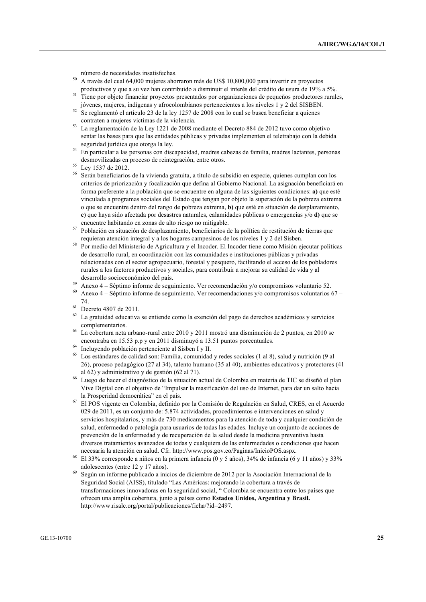número de necesidades insatisfechas.

- <sup>50</sup> A través del cual 64,000 mujeres ahorraron más de US\$ 10,800,000 para invertir en proyectos productivos y que a su vez han contribuido a disminuir el interés del crédito de usura de 19% a 5%.
- <sup>51</sup> Tiene por objeto financiar proyectos presentados por organizaciones de pequeños productores rurales, jóvenes, mujeres, indígenas y afrocolombianos pertenecientes a los niveles 1 y 2 del SISBEN.
- $52$  Se reglamentó el artículo 23 de la ley 1257 de 2008 con lo cual se busca beneficiar a quienes contraten a mujeres víctimas de la violencia.
- <sup>53</sup> La reglamentación de la Ley 1221 de 2008 mediante el Decreto 884 de 2012 tuvo como objetivo sentar las bases para que las entidades públicas y privadas implementen el teletrabajo con la debida seguridad jurídica que otorga la ley.
- <sup>54</sup> En particular a las personas con discapacidad, madres cabezas de familia, madres lactantes, personas desmovilizadas en proceso de reintegración, entre otros.
- <sup>55</sup> Ley 1537 de 2012.
- <sup>56</sup> Serán beneficiarios de la vivienda gratuita, a título de subsidio en especie, quienes cumplan con los criterios de priorización y focalización que defina al Gobierno Nacional. La asignación beneficiará en forma preferente a la población que se encuentre en alguna de las siguientes condiciones: **a)** que esté vinculada a programas sociales del Estado que tengan por objeto la superación de la pobreza extrema o que se encuentre dentro del rango de pobreza extrema, **b)** que esté en situación de desplazamiento, **c)** que haya sido afectada por desastres naturales, calamidades públicas o emergencias y/o **d)** que se encuentre habitando en zonas de alto riesgo no mitigable.
- <sup>57</sup> Población en situación de desplazamiento, beneficiarios de la política de restitución de tierras que requieran atención integral y a los hogares campesinos de los niveles 1 y 2 del Sisben.
- <sup>58</sup> Por medio del Ministerio de Agricultura y el Incoder. El Incoder tiene como Misión ejecutar políticas de desarrollo rural, en coordinación con las comunidades e instituciones públicas y privadas relacionadas con el sector agropecuario, forestal y pesquero, facilitando el acceso de los pobladores rurales a los factores productivos y sociales, para contribuir a mejorar su calidad de vida y al desarrollo socioeconómico del país.
- <sup>59</sup> Anexo 4 Séptimo informe de seguimiento. Ver recomendación y/o compromisos voluntario 52.
- <sup>60</sup> Anexo 4 Séptimo informe de seguimiento. Ver recomendaciones y/o compromisos voluntarios 67 74.
- $^{61}$  Decreto 4807 de 2011.
- La gratuidad educativa se entiende como la exención del pago de derechos académicos y servicios complementarios.
- <sup>63</sup> La cobertura neta urbano-rural entre 2010 y 2011 mostró una disminución de 2 puntos, en 2010 se encontraba en 15.53 p.p y en 2011 disminuyó a 13.51 puntos porcentuales.
- <sup>64</sup> Incluyendo población pertenciente al Sisben I y II.
- <sup>65</sup> Los estándares de calidad son: Familia, comunidad y redes sociales (1 al 8), salud y nutrición (9 al 26), proceso pedagógico (27 al 34), talento humano (35 al 40), ambientes educativos y protectores (41 al 62) y administrativo y de gestión (62 al 71).
- <sup>66</sup> Luego de hacer el diagnóstico de la situación actual de Colombia en materia de TIC se diseñó el plan Vive Digital con el objetivo de "Impulsar la masificación del uso de Internet, para dar un salto hacia la Prosperidad democrática" en el país.
- <sup>67</sup> El POS vigente en Colombia, definido por la Comisión de Regulación en Salud, CRES, en el Acuerdo 029 de 2011, es un conjunto de: 5.874 actividades, procedimientos e intervenciones en salud y servicios hospitalarios, y más de 730 medicamentos para la atención de toda y cualquier condición de salud, enfermedad o patología para usuarios de todas las edades. Incluye un conjunto de acciones de prevención de la enfermedad y de recuperación de la salud desde la medicina preventiva hasta diversos tratamientos avanzados de todas y cualquiera de las enfermedades o condiciones que hacen necesaria la atención en salud. Cfr. http://www.pos.gov.co/Paginas/InicioPOS.aspx.
- <sup>68</sup> El 33% corresponde a niños en la primera infancia (0 y 5 años), 34% de infancia (6 y 11 años) y 33% adolescentes (entre 12 y 17 años).
- <sup>69</sup> Según un informe publicado a inicios de diciembre de 2012 por la Asociación Internacional de la Seguridad Social (AISS), titulado "Las Américas: mejorando la cobertura a través de transformaciones innovadoras en la seguridad social, " Colombia se encuentra entre los países que ofrecen una amplia cobertura, junto a países como **Estados Unidos, Argentina y Brasil.**  http://www.risalc.org/portal/publicaciones/ficha/?id=2497.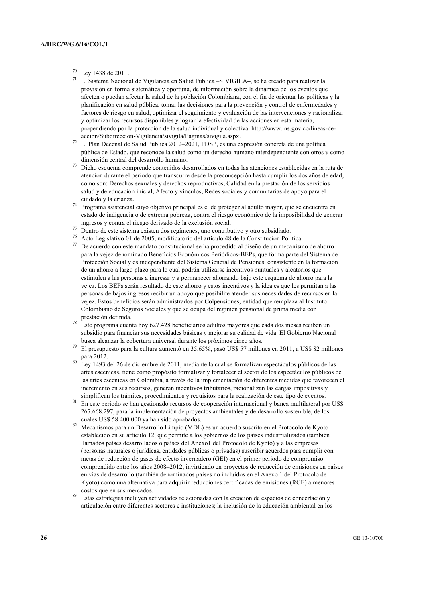- $^{70}$  Ley 1438 de 2011.
- <sup>71</sup> El Sistema Nacional de Vigilancia en Salud Pública –SIVIGILA**–**, se ha creado para realizar la provisión en forma sistemática y oportuna, de información sobre la dinámica de los eventos que afecten o puedan afectar la salud de la población Colombiana, con el fin de orientar las políticas y la planificación en salud pública, tomar las decisiones para la prevención y control de enfermedades y factores de riesgo en salud, optimizar el seguimiento y evaluación de las intervenciones y racionalizar y optimizar los recursos disponibles y lograr la efectividad de las acciones en esta materia, propendiendo por la protección de la salud individual y colectiva. http://www.ins.gov.co/lineas-deaccion/Subdireccion-Vigilancia/sivigila/Paginas/sivigila.aspx.
- <sup>72</sup> El Plan Decenal de Salud Pública 2012–2021, PDSP, es una expresión concreta de una política pública de Estado, que reconoce la salud como un derecho humano interdependiente con otros y como dimensión central del desarrollo humano.
- <sup>73</sup> Dicho esquema comprende contenidos desarrollados en todas las atenciones establecidas en la ruta de atención durante el periodo que transcurre desde la preconcepción hasta cumplir los dos años de edad, como son: Derechos sexuales y derechos reproductivos, Calidad en la prestación de los servicios salud y de educación inicial, Afecto y vínculos, Redes sociales y comunitarias de apoyo para el cuidado y la crianza.
- <sup>74</sup> Programa asistencial cuyo objetivo principal es el de proteger al adulto mayor, que se encuentra en estado de indigencia o de extrema pobreza, contra el riesgo económico de la imposibilidad de generar ingresos y contra el riesgo derivado de la exclusión social.
- <sup>75</sup> Dentro de este sistema existen dos regímenes, uno contributivo y otro subsidiado.
- <sup>76</sup> Acto Legislativo 01 de 2005, modificatorio del artículo 48 de la Constitución Política.
- <sup>77</sup> De acuerdo con este mandato constitucional se ha procedido al diseño de un mecanismo de ahorro para la vejez denominado Beneficios Económicos Periódicos-BEPs, que forma parte del Sistema de Protección Social y es independiente del Sistema General de Pensiones, consistente en la formación de un ahorro a largo plazo para lo cual podrán utilizarse incentivos puntuales y aleatorios que estimulen a las personas a ingresar y a permanecer ahorrando bajo este esquema de ahorro para la vejez. Los BEPs serán resultado de este ahorro y estos incentivos y la idea es que les permitan a las personas de bajos ingresos recibir un apoyo que posibilite atender sus necesidades de recursos en la vejez. Estos beneficios serán administrados por Colpensiones, entidad que remplaza al Instituto Colombiano de Seguros Sociales y que se ocupa del régimen pensional de prima media con prestación definida.
- <sup>78</sup> Este programa cuenta hoy 627.428 beneficiarios adultos mayores que cada dos meses reciben un subsidio para financiar sus necesidades básicas y mejorar su calidad de vida. El Gobierno Nacional busca alcanzar la cobertura universal durante los próximos cinco años.
- <sup>79</sup> El presupuesto para la cultura aumentó en 35.65%, pasó US\$ 57 millones en 2011, a US\$ 82 millones para 2012.
- <sup>80</sup> Ley 1493 del 26 de diciembre de 2011, mediante la cual se formalizan espectáculos públicos de las artes escénicas, tiene como propósito formalizar y fortalecer el sector de los espectáculos públicos de las artes escénicas en Colombia, a través de la implementación de diferentes medidas que favorecen el incremento en sus recursos, generan incentivos tributarios, racionalizan las cargas impositivas y simplifican los trámites, procedimientos y requisitos para la realización de este tipo de eventos.
- <sup>81</sup> En este periodo se han gestionado recursos de cooperación internacional y banca multilateral por US\$ 267.668.297, para la implementación de proyectos ambientales y de desarrollo sostenible, de los cuales US\$ 58.400.000 ya han sido aprobados.
- <sup>82</sup> Mecanismos para un Desarrollo Limpio (MDL) es un acuerdo suscrito en el Protocolo de Kyoto establecido en su artículo 12, que permite a los gobiernos de los países industrializados (también llamados países desarrollados o países del Anexo1 del Protocolo de Kyoto) y a las empresas (personas naturales o jurídicas, entidades públicas o privadas) suscribir acuerdos para cumplir con metas de reducción de gases de efecto invernadero (GEI) en el primer periodo de compromiso comprendido entre los años 2008–2012, invirtiendo en proyectos de reducción de emisiones en países en vías de desarrollo (también denominados países no incluídos en el Anexo 1 del Protocolo de Kyoto) como una alternativa para adquirir reducciones certificadas de emisiones (RCE) a menores costos que en sus mercados.
- <sup>83</sup> Estas estrategias incluyen actividades relacionadas con la creación de espacios de concertación y articulación entre diferentes sectores e instituciones; la inclusión de la educación ambiental en los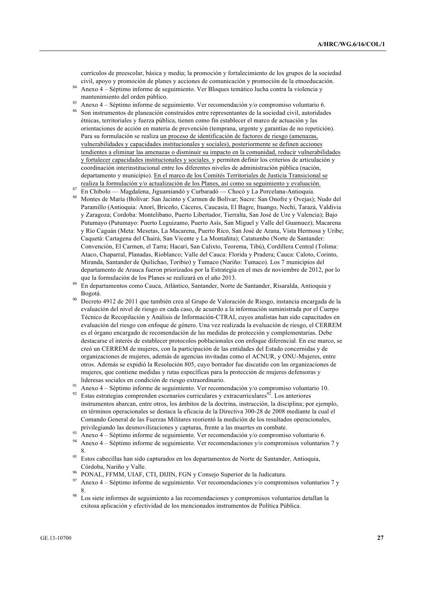currículos de preescolar, básica y media; la promoción y fortalecimiento de los grupos de la sociedad civil, apoyo y promoción de planes y acciones de comunicación y promoción de la etnoeducación.

- <sup>84</sup> Anexo 4 Séptimo informe de seguimiento. Ver Bloques temático lucha contra la violencia y mantenimiento del orden público.
- <sup>85</sup> Anexo 4 Séptimo informe de seguimiento. Ver recomendación y/o compromiso voluntario 6. <sup>86</sup> Son instrumentos de planeación construidos entre representantes de la sociedad civil, autoridades étnicas, territoriales y fuerza pública, tienen como fin establecer el marco de actuación y las orientaciones de acción en materia de prevención (temprana, urgente y garantías de no repetición). Para su formulación se realiza un proceso de identificación de factores de riesgo (amenazas, vulnerabilidades y capacidades institucionales y sociales), posteriormente se definen acciones tendientes a eliminar las amenazas o disminuir su impacto en la comunidad, reducir vulnerabilidades y fortalecer capacidades institucionales y sociales. y permiten definir los criterios de articulación y coordinación interinstitucional entre los diferentes niveles de administración pública (nación, departamento y municipio). En el marco de los Comités Territoriales de Justicia Transicional se
- realiza la formulación y/o actualización de los Planes, así como su seguimiento y evaluación. <sup>87</sup> En Chibolo — Magdalena, Jiguamiandó y Curbaradó — Chocó y La Porcelana-Antioquia.
- <sup>88</sup> Montes de María (Bolívar: San Jacinto y Carmen de Bolívar; Sucre: San Onofre y Ovejas); Nudo del Paramillo (Antioquia: Anorí, Briceño, Cáceres, Caucasia, El Bagre, Ituango, Nechí, Tarazá, Valdivia y Zaragoza; Cordoba: Montelibano, Puerto Libertador, Tierralta, San José de Ure y Valencia); Bajo Putumayo (Putumayo: Puerto Leguizamo, Puerto Asís, San Miguel y Valle del Guamuez); Macarena y Río Caguán (Meta: Mesetas, La Macarena, Puerto Rico, San José de Arana, Vista Hermosa y Uribe; Caquetá: Cartagena del Chairá, San Vicente y La Montañita); Catatumbo (Norte de Santander: Convención, El Carmen, el Tarra; Hacarí, San Calixto, Teorema, Tibú), Cordillera Central (Tolima: Ataco, Chaparral, Planadas, Rioblanco; Valle del Cauca: Florida y Pradera; Cauca: Caloto, Corinto, Miranda, Santander de Quilichao, Toribio) y Tumaco (Nariño: Tumaco). Los 7 municipios del departamento de Arauca fueron priorizados por la Estrategia en el mes de noviembre de 2012, por lo que la formulación de los Planes se realizará en el año 2013.
- <sup>89</sup> En departamentos como Cauca, Atlántico, Santander, Norte de Santander, Risaralda, Antioquia y Bogotá.
- <sup>90</sup> Decreto 4912 de 2011 que también crea al Grupo de Valoración de Riesgo, instancia encargada de la evaluación del nivel de riesgo en cada caso, de acuerdo a la información suministrada por el Cuerpo Técnico de Recopilación y Análisis de Información-CTRAI, cuyos analistas han sido capacitados en evaluación del riesgo con enfoque de género. Una vez realizada la evaluación de riesgo, el CERREM es el órgano encargado de recomendación de las medidas de protección y complementarias. Debe destacarse el interés de establecer protocolos poblacionales con enfoque diferencial. En ese marco, se creó un CERREM de mujeres, con la participación de las entidades del Estado concernidas y de organizaciones de mujeres, además de agencias invitadas como el ACNUR, y ONU-Mujeres, entre otros. Además se expidió la Resolución 805, cuyo borrador fue discutido con las organizaciones de mujeres, que contiene medidas y rutas específicas para la protección de mujeres defensoras y lideresas sociales en condición de riesgo extraordinario.
- <sup>91</sup> Anexo 4 Séptimo informe de seguimiento. Ver recomendación y/o compromiso voluntario 10.
- Estas estrategias comprenden escenarios curriculares y extracurriculares<sup>92</sup>. Los anteriores instrumentos abarcan, entre otros, los ámbitos de la doctrina, instrucción, la disciplina; por ejemplo, en términos operacionales se destaca la eficacia de la Directiva 300-28 de 2008 mediante la cual el Comando General de las Fuerzas Militares reorientó la medición de los resultados operacionales, privilegiando las desmovilizaciones y capturas, frente a las muertes en combate.
- 93 Anexo 4 Séptimo informe de seguimiento. Ver recomendación y/o compromiso voluntario 6.
- <sup>94</sup> Anexo 4 Séptimo informe de seguimiento. Ver recomendaciones y/o compromisos voluntarios 7 y 8.
- <sup>95</sup> Estos cabecillas han sido capturados en los departamentos de Norte de Santander, Antioquia, Córdoba, Nariño y Valle.
- <sup>96</sup> PONAL, FFMM, UIAF, CTI, DIJIN, FGN y Consejo Superior de la Judicatura.
- <sup>97</sup> Anexo 4 Séptimo informe de seguimiento. Ver recomendaciones y/o compromisos voluntarios 7 y 8.
- Los siete informes de seguimiento a las recomendaciones y compromisos voluntarios detallan la exitosa aplicación y efectividad de los mencionados instrumentos de Política Pública.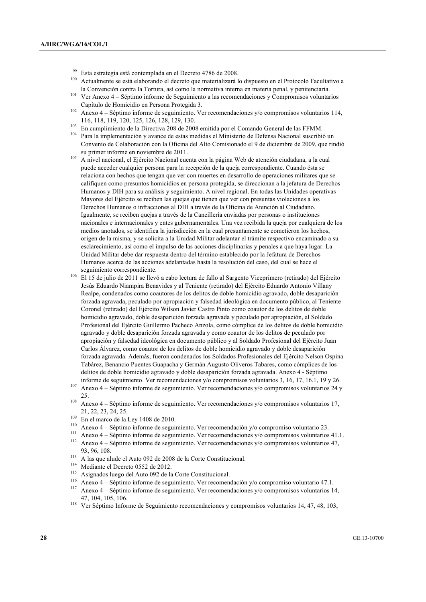- <sup>99</sup> Esta estrategia está contemplada en el Decreto 4786 de 2008.
- Actualmente se está elaborando el decreto que materializará lo dispuesto en el Protocolo Facultativo a la Convención contra la Tortura, así como la normativa interna en materia penal, y penitenciaria.
- <sup>101</sup> Ver Anexo 4 Séptimo informe de Seguimiento a las recomendaciones y Compromisos voluntarios Capítulo de Homicidio en Persona Protegida 3.
- <sup>102</sup> Anexo 4 Séptimo informe de seguimiento. Ver recomendaciones y/o compromisos voluntarios 114, 116, 118, 119, 120, 125, 126, 128, 129, 130.
- <sup>103</sup> En cumplimiento de la Directiva 208 de 2008 emitida por el Comando General de las FFMM.
- <sup>104</sup> Para la implementación y avance de estas medidas el Ministerio de Defensa Nacional suscribió un Convenio de Colaboración con la Oficina del Alto Comisionado el 9 de diciembre de 2009, que rindió su primer informe en noviembre de 2011.
- <sup>105</sup> A nivel nacional, el Ejército Nacional cuenta con la página Web de atención ciudadana, a la cual puede acceder cualquier persona para la recepción de la queja correspondiente. Cuando ésta se relaciona con hechos que tengan que ver con muertes en desarrollo de operaciones militares que se califiquen como presuntos homicidios en persona protegida, se direccionan a la jefatura de Derechos Humanos y DIH para su análisis y seguimiento. A nivel regional. En todas las Unidades operativas Mayores del Ejército se reciben las quejas que tienen que ver con presuntas violaciones a los Derechos Humanos o infracciones al DIH a través de la Oficina de Atención al Ciudadano. Igualmente, se reciben quejas a través de la Cancillería enviadas por personas o instituciones nacionales e internacionales y entes gubernamentales. Una vez recibida la queja por cualquiera de los medios anotados, se identifica la jurisdicción en la cual presuntamente se cometieron los hechos, origen de la misma, y se solicita a la Unidad Militar adelantar el trámite respectivo encaminado a su esclarecimiento, así como el impulso de las acciones disciplinarias y penales a que haya lugar. La Unidad Militar debe dar respuesta dentro del término establecido por la Jefatura de Derechos Humanos acerca de las acciones adelantadas hasta la resolución del caso, del cual se hace el seguimiento correspondiente.
- <sup>106</sup> El 15 de julio de 2011 se llevó a cabo lectura de fallo al Sargento Viceprimero (retirado) del Ejército Jesús Eduardo Niampira Benavides y al Teniente (retirado) del Ejército Eduardo Antonio Villany Realpe, condenados como coautores de los delitos de doble homicidio agravado, doble desaparición forzada agravada, peculado por apropiación y falsedad ideológica en documento público, al Teniente Coronel (retirado) del Ejército Wilson Javier Castro Pinto como coautor de los delitos de doble homicidio agravado, doble desaparición forzada agravada y peculado por apropiación, al Soldado Profesional del Ejército Guillermo Pacheco Anzola, como cómplice de los delitos de doble homicidio agravado y doble desaparición forzada agravada y como coautor de los delitos de peculado por apropiación y falsedad ideológica en documento público y al Soldado Profesional del Ejército Juan Carlos Álvarez, como coautor de los delitos de doble homicidio agravado y doble desaparición forzada agravada. Además, fueron condenados los Soldados Profesionales del Ejército Nelson Ospina Tabárez, Benancio Puentes Guapacha y Germán Augusto Oliveros Tabares, como cómplices de los delitos de doble homicidio agravado y doble desaparición forzada agravada. Anexo 4 - Séptimo informe de seguimiento. Ver recomendaciones y/o compromisos voluntarios 3, 16, 17, 16.1, 19 y 26.
- <sup>107</sup> Anexo 4 Séptimo informe de seguimiento. Ver recomendaciones y/o compromisos voluntarios 24 y 25.
- <sup>108</sup> Anexo 4 Séptimo informe de seguimiento. Ver recomendaciones y/o compromisos voluntarios 17, 21, 22, 23, 24, 25.
- $^{109}$  En el marco de la Ley 1408 de 2010.
- <sup>110</sup> Anexo 4 Séptimo informe de seguimiento. Ver recomendación y/o compromiso voluntario 23.
- <sup>111</sup> Anexo 4 Séptimo informe de seguimiento. Ver recomendaciones y/o compromisos voluntarios 41.1.<br><sup>112</sup> Anexo 4 Séptimo informe de seguimiento. Ver recomendaciones y/o compromisos voluntarios 47. <sup>112</sup> Anexo 4 – Séptimo informe de seguimiento. Ver recomendaciones y/o compromisos voluntarios 47, 93, 96, 108.
- <sup>113</sup> A las que alude el Auto 092 de 2008 de la Corte Constitucional.
- <sup>114</sup> Mediante el Decreto 0552 de 2012.
- <sup>115</sup> Asignados luego del Auto 092 de la Corte Constitucional.
- <sup>116</sup> Anexo 4 Séptimo informe de seguimiento. Ver recomendación y/o compromiso voluntario 47.1.
- <sup>117</sup> Anexo 4 Séptimo informe de seguimiento. Ver recomendaciones y/o compromisos voluntarios 14, 47, 104, 105, 106.
- <sup>118</sup> Ver Séptimo Informe de Seguimiento recomendaciones y compromisos voluntarios 14, 47, 48, 103,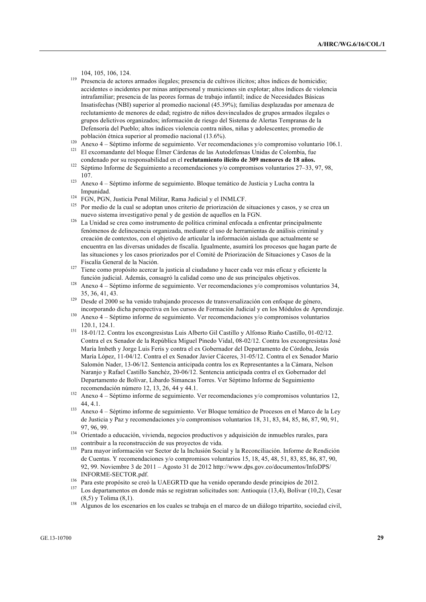- <sup>119</sup> Presencia de actores armados ilegales; presencia de cultivos ilícitos; altos índices de homicidio; accidentes o incidentes por minas antipersonal y municiones sin explotar; altos índices de violencia intrafamiliar; presencia de las peores formas de trabajo infantil; índice de Necesidades Básicas Insatisfechas (NBI) superior al promedio nacional (45.39%); familias desplazadas por amenaza de reclutamiento de menores de edad; registro de niños desvinculados de grupos armados ilegales o grupos delictivos organizados; información de riesgo del Sistema de Alertas Tempranas de la Defensoría del Pueblo; altos índices violencia contra niños, niñas y adolescentes; promedio de población étnica superior al promedio nacional (13.6%).
- <sup>120</sup> Anexo 4 Séptimo informe de seguimiento. Ver recomendaciones y/o compromiso voluntario 106.1.
- <sup>121</sup> El excomandante del bloque Élmer Cárdenas de las Autodefensas Unidas de Colombia, fue condenado por su responsabilidad en el **reclutamiento ilícito de 309 menores de 18 años.**
- <sup>122</sup> Séptimo Informe de Seguimiento a recomendaciones y/o compromisos voluntarios 27–33, 97, 98, 107.
- <sup>123</sup> Anexo 4 Séptimo informe de seguimiento. Bloque temático de Justicia y Lucha contra la Impunidad.
- <sup>124</sup> FGN, PGN, Justicia Penal Militar, Rama Judicial y el INMLCF.
- <sup>125</sup> Por medio de la cual se adoptan unos criterio de priorización de situaciones y casos, y se crea un nuevo sistema investigativo penal y de gestión de aquellos en la FGN.
- <sup>126</sup> La Unidad se crea como instrumento de política criminal enfocada a enfrentar principalmente fenómenos de delincuencia organizada, mediante el uso de herramientas de análisis criminal y creación de contextos, con el objetivo de articular la información aislada que actualmente se encuentra en las diversas unidades de fiscalía. Igualmente, asumirá los procesos que hagan parte de las situaciones y los casos priorizados por el Comité de Priorización de Situaciones y Casos de la Fiscalía General de la Nación.
- <sup>127</sup> Tiene como propósito acercar la justicia al ciudadano y hacer cada vez más eficaz y eficiente la función judicial. Además, consagró la calidad como uno de sus principales objetivos.
- <sup>128</sup> Anexo  $4 -$  Séptimo informe de seguimiento. Ver recomendaciones y/o compromisos voluntarios 34, 35, 36, 41, 43.
- <sup>129</sup> Desde el 2000 se ha venido trabajando procesos de transversalización con enfoque de género, incorporando dicha perspectiva en los cursos de Formación Judicial y en los Módulos de Aprendizaje.
- <sup>130</sup> Anexo 4 Séptimo informe de seguimiento. Ver recomendaciones y/o compromisos voluntarios 120.1, 124.1.
- <sup>131</sup> 18-01/12. Contra los excongresistas Luis Alberto Gil Castillo y Alfonso Riaño Castillo, 01-02/12. Contra el ex Senador de la República Miguel Pinedo Vidal, 08-02/12. Contra los excongresistas José María Imbeth y Jorge Luis Feris y contra el ex Gobernador del Departamento de Córdoba, Jesús María López, 11-04/12. Contra el ex Senador Javier Cáceres, 31-05/12. Contra el ex Senador Mario Salomón Nader, 13-06/12. Sentencia anticipada contra los ex Representantes a la Cámara, Nelson Naranjo y Rafael Castillo Sanchéz, 20-06/12. Sentencia anticipada contra el ex Gobernador del Departamento de Bolívar, Libardo Simancas Torres. Ver Séptimo Informe de Seguimiento recomendación número 12, 13, 26, 44 y 44.1.
- <sup>132</sup> Anexo 4 Séptimo informe de seguimiento. Ver recomendaciones y/o compromisos voluntarios 12, 44, 4.1.
- <sup>133</sup> Anexo 4 Séptimo informe de seguimiento. Ver Bloque temático de Procesos en el Marco de la Ley de Justicia y Paz y recomendaciones y/o compromisos voluntarios 18, 31, 83, 84, 85, 86, 87, 90, 91, 97, 96, 99.
- 134 Orientado a educación, vivienda, negocios productivos y adquisición de inmuebles rurales, para contribuir a la reconstrucción de sus proyectos de vida.
- <sup>135</sup> Para mayor información ver Sector de la Inclusión Social y la Reconciliación. Informe de Rendición de Cuentas. Y recomendaciones y/o compromisos voluntarios 15, 18, 45, 48, 51, 83, 85, 86, 87, 90, 92, 99. Noviembre 3 de 2011 – Agosto 31 de 2012 http://www.dps.gov.co/documentos/InfoDPS/ INFORME-SECTOR.pdf.
- 136 Para este propósito se creó la UAEGRTD que ha venido operando desde principios de 2012.<br>137 Para este propósito se creó de más es prejetem estistinhas expedicións (12.4). Delítor (10.7)
- Los departamentos en donde más se registran solicitudes son: Antioquia (13,4), Bolívar (10,2), Cesar (8,5) y Tolima (8,1).
- <sup>138</sup> Algunos de los escenarios en los cuales se trabaja en el marco de un diálogo tripartito, sociedad civil,

<sup>104, 105, 106, 124.</sup>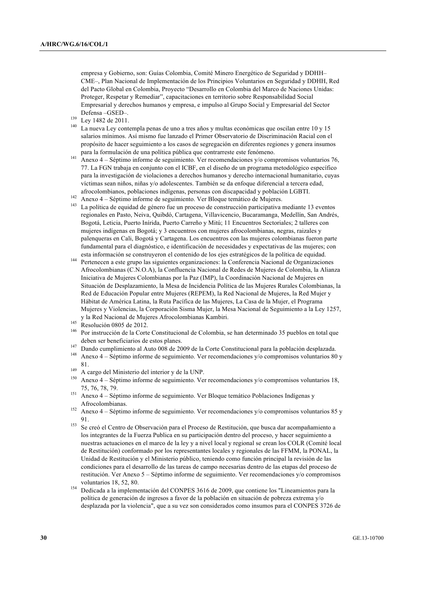empresa y Gobierno, son: Guías Colombia, Comité Minero Energético de Seguridad y DDHH– CME–, Plan Nacional de Implementación de los Principios Voluntarios en Seguridad y DDHH, Red del Pacto Global en Colombia, Proyecto "Desarrollo en Colombia del Marco de Naciones Unidas: Proteger, Respetar y Remediar", capacitaciones en territorio sobre Responsabilidad Social Empresarial y derechos humanos y empresa, e impulso al Grupo Social y Empresarial del Sector Defensa –GSED–.

- <sup>139</sup> Ley 1482 de 2011.
- <sup>140</sup> La nueva Ley contempla penas de uno a tres años y multas económicas que oscilan entre 10 y 15 salarios mínimos. Así mismo fue lanzado el Primer Observatorio de Discriminación Racial con el propósito de hacer seguimiento a los casos de segregación en diferentes regiones y genera insumos para la formulación de una política pública que contrarreste este fenómeno.
- <sup>141</sup> Anexo 4 Séptimo informe de seguimiento. Ver recomendaciones y/o compromisos voluntarios 76, 77. La FGN trabaja en conjunto con el ICBF, en el diseño de un programa metodológico específico para la investigación de violaciones a derechos humanos y derecho internacional humanitario, cuyas víctimas sean niños, niñas y/o adolescentes. También se da enfoque diferencial a tercera edad, afrocolombianos, poblaciones indígenas, personas con discapacidad y población LGBTI.
- <sup>142</sup> Anexo 4 Séptimo informe de seguimiento. Ver Bloque temático de Mujeres.
- <sup>143</sup> La política de equidad de género fue un proceso de construcción participativa mediante 13 eventos regionales en Pasto, Neiva, Quibdó, Cartagena, Villavicencio, Bucaramanga, Medellín, San Andrés, Bogotá, Leticia, Puerto Inírida, Puerto Carreño y Mitú; 11 Encuentros Sectoriales; 2 talleres con mujeres indígenas en Bogotá; y 3 encuentros con mujeres afrocolombianas, negras, raizales y palenqueras en Cali, Bogotá y Cartagena. Los encuentros con las mujeres colombianas fueron parte fundamental para el diagnóstico, e identificación de necesidades y expectativas de las mujeres; con esta información se construyeron el contenido de los ejes estratégicos de la política de equidad.
- <sup>144</sup> Pertenecen a este grupo las siguientes organizaciones: la Conferencia Nacional de Organizaciones Afrocolombianas (C.N.O.A), la Confluencia Nacional de Redes de Mujeres de Colombia, la Alianza Iniciativa de Mujeres Colombianas por la Paz (IMP), la Coordinación Nacional de Mujeres en Situación de Desplazamiento, la Mesa de Incidencia Política de las Mujeres Rurales Colombianas, la Red de Educación Popular entre Mujeres (REPEM), la Red Nacional de Mujeres, la Red Mujer y Hábitat de América Latina, la Ruta Pacífica de las Mujeres, La Casa de la Mujer, el Programa Mujeres y Violencias, la Corporación Sisma Mujer, la Mesa Nacional de Seguimiento a la Ley 1257, y la Red Nacional de Mujeres Afrocolombianas Kambiri.
- $^{145}$  Resolución 0805 de 2012.
- <sup>146</sup> Por instrucción de la Corte Constitucional de Colombia, se han determinado 35 pueblos en total que deben ser beneficiarios de estos planes.
- 147 Dando cumplimiento al Auto 008 de 2009 de la Corte Constitucional para la población desplazada.
- <sup>148</sup> Anexo 4 Séptimo informe de seguimiento. Ver recomendaciones y/o compromisos voluntarios 80 y 81.
- <sup>149</sup> A cargo del Ministerio del interior y de la UNP.<br><sup>150</sup> Anovo 4. Sóntimo informa de comunicato Mo
- <sup>150</sup> Anexo 4 Séptimo informe de seguimiento. Ver recomendaciones y/o compromisos voluntarios 18, 75, 76, 78, 79.
- <sup>151</sup> Anexo 4 Séptimo informe de seguimiento. Ver Bloque temático Poblaciones Indígenas y Afrocolombianas.
- <sup>152</sup> Anexo 4 Séptimo informe de seguimiento. Ver recomendaciones y/o compromisos voluntarios 85 y 91.
- <sup>153</sup> Se creó el Centro de Observación para el Proceso de Restitución, que busca dar acompañamiento a los integrantes de la Fuerza Publica en su participación dentro del proceso, y hacer seguimiento a nuestras actuaciones en el marco de la ley y a nivel local y regional se crean los COLR (Comité local de Restitución) conformado por los representantes locales y regionales de las FFMM, la PONAL, la Unidad de Restitución y el Ministerio público, teniendo como función principal la revisión de las condiciones para el desarrollo de las tareas de campo necesarias dentro de las etapas del proceso de restitución. Ver Anexo 5 – Séptimo informe de seguimiento. Ver recomendaciones y/o compromisos voluntarios 18, 52, 80.
- <sup>154</sup> Dedicada a la implementación del CONPES 3616 de 2009, que contiene los "Lineamientos para la política de generación de ingresos a favor de la población en situación de pobreza extrema y/o desplazada por la violencia", que a su vez son considerados como insumos para el CONPES 3726 de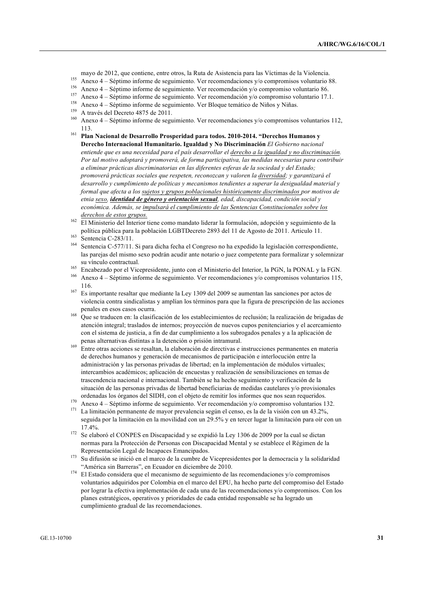- mayo de 2012, que contiene, entre otros, la Ruta de Asistencia para las Víctimas de la Violencia.
- <sup>155</sup> Anexo 4 Séptimo informe de seguimiento. Ver recomendaciones y/o compromisos voluntario 88.
- <sup>156</sup> Anexo 4 Séptimo informe de seguimiento. Ver recomendación y/o compromiso voluntario 86.
- <sup>157</sup> Anexo 4 Séptimo informe de seguimiento. Ver recomendación y/o compromiso voluntario 17.1.
- <sup>158</sup> Anexo 4 Séptimo informe de seguimiento. Ver Bloque temático de Niños y Niñas.
- <sup>159</sup> A través del Decreto 4875 de 2011.
- <sup>160</sup> Anexo 4 Séptimo informe de seguimiento. Ver recomendaciones y/o compromisos voluntarios 112, 113.
- <sup>161</sup> **Plan Nacional de Desarrollo Prosperidad para todos. 2010-2014. "Derechos Humanos y Derecho Internacional Humanitario. Igualdad y No Discriminación** *El Gobierno nacional entiende que es una necesidad para el país desarrollar el derecho a la igualdad y no discriminación. Por tal motivo adoptará y promoverá, de forma participativa, las medidas necesarias para contribuir a eliminar prácticas discriminatorias en las diferentes esferas de la sociedad y del Estado; promoverá prácticas sociales que respeten, reconozcan y valoren la diversidad; y garantizará el desarrollo y cumplimiento de políticas y mecanismos tendientes a superar la desigualdad material y formal que afecta a los sujetos y grupos poblacionales históricamente discriminados por motivos de etnia sexo, identidad de género y orientación sexual, edad, discapacidad, condición social y económica. Además, se impulsará el cumplimiento de las Sentencias Constitucionales sobre los derechos de estos grupos.*

- <sup>164</sup> Sentencia C-577/11. Si para dicha fecha el Congreso no ha expedido la legislación correspondiente, las parejas del mismo sexo podrán acudir ante notario o juez competente para formalizar y solemnizar su vínculo contractual.
- <sup>165</sup> Encabezado por el Vicepresidente, junto con el Ministerio del Interior, la PGN, la PONAL y la FGN.
- <sup>166</sup> Anexo 4 Séptimo informe de seguimiento. Ver recomendaciones y/o compromisos voluntarios 115, 116.
- <sup>167</sup> Es importante resaltar que mediante la Ley 1309 del 2009 se aumentan las sanciones por actos de violencia contra sindicalistas y amplían los términos para que la figura de prescripción de las acciones penales en esos casos ocurra.
- <sup>168</sup> Que se traducen en: la clasificación de los establecimientos de reclusión; la realización de brigadas de atención integral; traslados de internos; proyección de nuevos cupos penitenciarios y el acercamiento con el sistema de justicia, a fin de dar cumplimiento a los subrogados penales y a la aplicación de penas alternativas distintas a la detención o prisión intramural.
- <sup>169</sup> Entre otras acciones se resaltan, la elaboración de directivas e instrucciones permanentes en materia de derechos humanos y generación de mecanismos de participación e interlocución entre la administración y las personas privadas de libertad; en la implementación de módulos virtuales; intercambios académicos; aplicación de encuestas y realización de sensibilizaciones en temas de trascendencia nacional e internacional. También se ha hecho seguimiento y verificación de la situación de las personas privadas de libertad beneficiarias de medidas cautelares y/o provisionales ordenadas los órganos del SIDH, con el objeto de remitir los informes que nos sean requeridos.
- <sup>170</sup> Anexo 4 Séptimo informe de seguimiento. Ver recomendación y/o compromiso voluntarios 132.<br><sup>171</sup> Le limitación permenento de mayor provoluncia aceián el agres es la del la visión esp un 42.2%
- <sup>171</sup> La limitación permanente de mayor prevalencia según el censo, es la de la visión con un 43.2%, seguida por la limitación en la movilidad con un 29.5% y en tercer lugar la limitación para oír con un 17.4%.
- $172$  Se elaboró el CONPES en Discapacidad y se expidió la Ley 1306 de 2009 por la cual se dictan normas para la Protección de Personas con Discapacidad Mental y se establece el Régimen de la Representación Legal de Incapaces Emancipados.
- <sup>173</sup> Su difusión se inició en el marco de la cumbre de Vicepresidentes por la democracia y la solidaridad "América sin Barreras", en Ecuador en diciembre de 2010.
- <sup>174</sup> El Estado considera que el mecanismo de seguimiento de las recomendaciones y/o compromisos voluntarios adquiridos por Colombia en el marco del EPU, ha hecho parte del compromiso del Estado por lograr la efectiva implementación de cada una de las recomendaciones y/o compromisos. Con los planes estratégicos, operativos y prioridades de cada entidad responsable se ha logrado un cumplimiento gradual de las recomendaciones.

<sup>162</sup> El Ministerio del Interior tiene como mandato liderar la formulación, adopción y seguimiento de la política pública para la población LGBTDecreto 2893 del 11 de Agosto de 2011. Articulo 11.

 $^{163}$  Sentencia C-283/11.